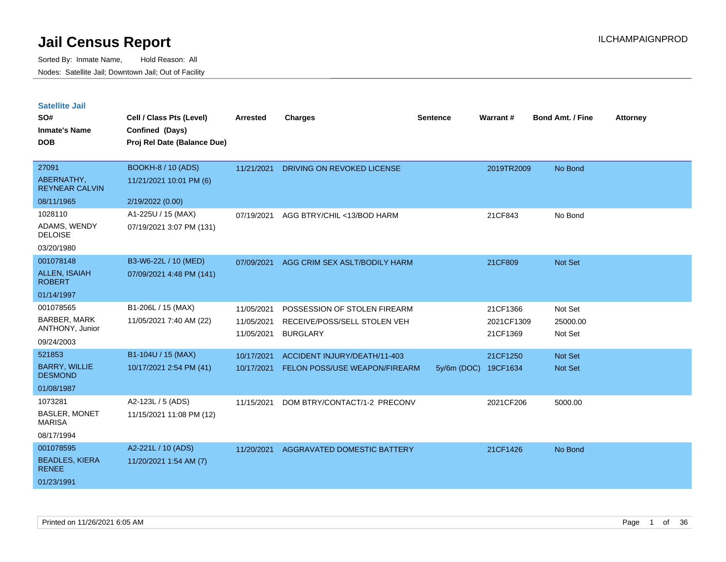| <b>Satellite Jail</b> |  |  |  |
|-----------------------|--|--|--|
|-----------------------|--|--|--|

| SO#<br><b>Inmate's Name</b><br><b>DOB</b> | Cell / Class Pts (Level)<br>Confined (Days)<br>Proj Rel Date (Balance Due) | <b>Arrested</b> | <b>Charges</b>                | <b>Sentence</b> | <b>Warrant#</b> | <b>Bond Amt. / Fine</b> | <b>Attorney</b> |
|-------------------------------------------|----------------------------------------------------------------------------|-----------------|-------------------------------|-----------------|-----------------|-------------------------|-----------------|
| 27091                                     | <b>BOOKH-8 / 10 (ADS)</b>                                                  | 11/21/2021      | DRIVING ON REVOKED LICENSE    |                 | 2019TR2009      | No Bond                 |                 |
| ABERNATHY,<br><b>REYNEAR CALVIN</b>       | 11/21/2021 10:01 PM (6)                                                    |                 |                               |                 |                 |                         |                 |
| 08/11/1965                                | 2/19/2022 (0.00)                                                           |                 |                               |                 |                 |                         |                 |
| 1028110                                   | A1-225U / 15 (MAX)                                                         | 07/19/2021      | AGG BTRY/CHIL <13/BOD HARM    |                 | 21CF843         | No Bond                 |                 |
| ADAMS, WENDY<br><b>DELOISE</b>            | 07/19/2021 3:07 PM (131)                                                   |                 |                               |                 |                 |                         |                 |
| 03/20/1980                                |                                                                            |                 |                               |                 |                 |                         |                 |
| 001078148                                 | B3-W6-22L / 10 (MED)                                                       | 07/09/2021      | AGG CRIM SEX ASLT/BODILY HARM |                 | 21CF809         | Not Set                 |                 |
| <b>ALLEN, ISAIAH</b><br><b>ROBERT</b>     | 07/09/2021 4:48 PM (141)                                                   |                 |                               |                 |                 |                         |                 |
| 01/14/1997                                |                                                                            |                 |                               |                 |                 |                         |                 |
| 001078565                                 | B1-206L / 15 (MAX)                                                         | 11/05/2021      | POSSESSION OF STOLEN FIREARM  |                 | 21CF1366        | Not Set                 |                 |
| <b>BARBER, MARK</b>                       | 11/05/2021 7:40 AM (22)                                                    | 11/05/2021      | RECEIVE/POSS/SELL STOLEN VEH  |                 | 2021CF1309      | 25000.00                |                 |
| ANTHONY, Junior                           |                                                                            | 11/05/2021      | <b>BURGLARY</b>               |                 | 21CF1369        | Not Set                 |                 |
| 09/24/2003                                |                                                                            |                 |                               |                 |                 |                         |                 |
| 521853                                    | B1-104U / 15 (MAX)                                                         | 10/17/2021      | ACCIDENT INJURY/DEATH/11-403  |                 | 21CF1250        | Not Set                 |                 |
| <b>BARRY, WILLIE</b><br><b>DESMOND</b>    | 10/17/2021 2:54 PM (41)                                                    | 10/17/2021      | FELON POSS/USE WEAPON/FIREARM | $5y/6m$ (DOC)   | 19CF1634        | Not Set                 |                 |
| 01/08/1987                                |                                                                            |                 |                               |                 |                 |                         |                 |
| 1073281                                   | A2-123L / 5 (ADS)                                                          | 11/15/2021      | DOM BTRY/CONTACT/1-2 PRECONV  |                 | 2021CF206       | 5000.00                 |                 |
| <b>BASLER, MONET</b><br><b>MARISA</b>     | 11/15/2021 11:08 PM (12)                                                   |                 |                               |                 |                 |                         |                 |
| 08/17/1994                                |                                                                            |                 |                               |                 |                 |                         |                 |
| 001078595                                 | A2-221L / 10 (ADS)                                                         | 11/20/2021      | AGGRAVATED DOMESTIC BATTERY   |                 | 21CF1426        | No Bond                 |                 |
| <b>BEADLES, KIERA</b><br><b>RENEE</b>     | 11/20/2021 1:54 AM (7)                                                     |                 |                               |                 |                 |                         |                 |
| 01/23/1991                                |                                                                            |                 |                               |                 |                 |                         |                 |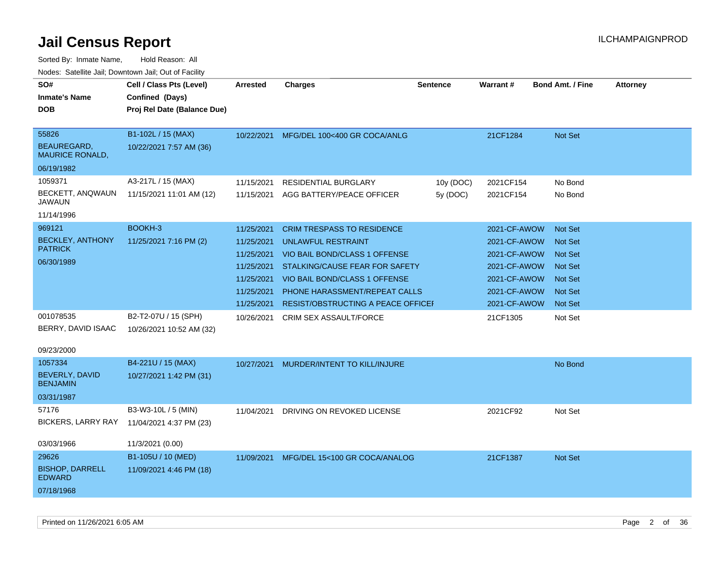| noaco. Catomto can, Domntonn can, Cat or I domt                   |                                                                            |                                                                                                |                                                                                                                                                                                                                                           |                       |                                                                                                              |                                                                                                                            |                 |
|-------------------------------------------------------------------|----------------------------------------------------------------------------|------------------------------------------------------------------------------------------------|-------------------------------------------------------------------------------------------------------------------------------------------------------------------------------------------------------------------------------------------|-----------------------|--------------------------------------------------------------------------------------------------------------|----------------------------------------------------------------------------------------------------------------------------|-----------------|
| SO#<br><b>Inmate's Name</b><br><b>DOB</b>                         | Cell / Class Pts (Level)<br>Confined (Days)<br>Proj Rel Date (Balance Due) | <b>Arrested</b>                                                                                | <b>Charges</b>                                                                                                                                                                                                                            | <b>Sentence</b>       | <b>Warrant#</b>                                                                                              | <b>Bond Amt. / Fine</b>                                                                                                    | <b>Attorney</b> |
| 55826<br>BEAUREGARD,<br><b>MAURICE RONALD,</b>                    | B1-102L / 15 (MAX)<br>10/22/2021 7:57 AM (36)                              | 10/22/2021                                                                                     | MFG/DEL 100<400 GR COCA/ANLG                                                                                                                                                                                                              |                       | 21CF1284                                                                                                     | <b>Not Set</b>                                                                                                             |                 |
| 06/19/1982<br>1059371<br>BECKETT, ANQWAUN<br>JAWAUN<br>11/14/1996 | A3-217L / 15 (MAX)<br>11/15/2021 11:01 AM (12)                             | 11/15/2021<br>11/15/2021                                                                       | <b>RESIDENTIAL BURGLARY</b><br>AGG BATTERY/PEACE OFFICER                                                                                                                                                                                  | 10y (DOC)<br>5y (DOC) | 2021CF154<br>2021CF154                                                                                       | No Bond<br>No Bond                                                                                                         |                 |
| 969121<br><b>BECKLEY, ANTHONY</b><br><b>PATRICK</b><br>06/30/1989 | BOOKH-3<br>11/25/2021 7:16 PM (2)                                          | 11/25/2021<br>11/25/2021<br>11/25/2021<br>11/25/2021<br>11/25/2021<br>11/25/2021<br>11/25/2021 | <b>CRIM TRESPASS TO RESIDENCE</b><br>UNLAWFUL RESTRAINT<br>VIO BAIL BOND/CLASS 1 OFFENSE<br>STALKING/CAUSE FEAR FOR SAFETY<br>VIO BAIL BOND/CLASS 1 OFFENSE<br>PHONE HARASSMENT/REPEAT CALLS<br><b>RESIST/OBSTRUCTING A PEACE OFFICEF</b> |                       | 2021-CF-AWOW<br>2021-CF-AWOW<br>2021-CF-AWOW<br>2021-CF-AWOW<br>2021-CF-AWOW<br>2021-CF-AWOW<br>2021-CF-AWOW | <b>Not Set</b><br><b>Not Set</b><br><b>Not Set</b><br><b>Not Set</b><br><b>Not Set</b><br><b>Not Set</b><br><b>Not Set</b> |                 |
| 001078535<br>BERRY, DAVID ISAAC<br>09/23/2000                     | B2-T2-07U / 15 (SPH)<br>10/26/2021 10:52 AM (32)                           | 10/26/2021                                                                                     | CRIM SEX ASSAULT/FORCE                                                                                                                                                                                                                    |                       | 21CF1305                                                                                                     | Not Set                                                                                                                    |                 |
| 1057334<br><b>BEVERLY, DAVID</b><br><b>BENJAMIN</b><br>03/31/1987 | B4-221U / 15 (MAX)<br>10/27/2021 1:42 PM (31)                              | 10/27/2021                                                                                     | MURDER/INTENT TO KILL/INJURE                                                                                                                                                                                                              |                       |                                                                                                              | No Bond                                                                                                                    |                 |
| 57176<br><b>BICKERS, LARRY RAY</b><br>03/03/1966                  | B3-W3-10L / 5 (MIN)<br>11/04/2021 4:37 PM (23)<br>11/3/2021 (0.00)         | 11/04/2021                                                                                     | DRIVING ON REVOKED LICENSE                                                                                                                                                                                                                |                       | 2021CF92                                                                                                     | Not Set                                                                                                                    |                 |
| 29626<br><b>BISHOP, DARRELL</b><br><b>EDWARD</b><br>07/18/1968    | B1-105U / 10 (MED)<br>11/09/2021 4:46 PM (18)                              | 11/09/2021                                                                                     | MFG/DEL 15<100 GR COCA/ANALOG                                                                                                                                                                                                             |                       | 21CF1387                                                                                                     | Not Set                                                                                                                    |                 |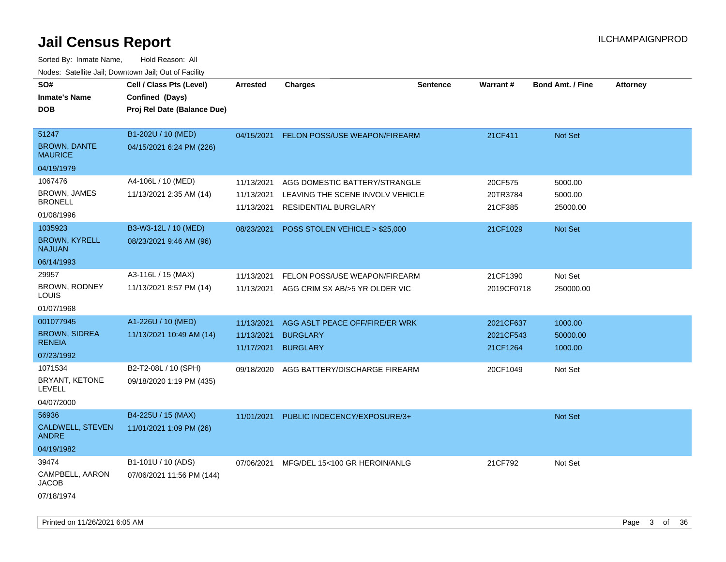| SO#<br><b>Inmate's Name</b><br><b>DOB</b>                          | Cell / Class Pts (Level)<br>Confined (Days)<br>Proj Rel Date (Balance Due) | <b>Arrested</b>          | <b>Charges</b>                                                                                       | <b>Sentence</b> | Warrant#                           | <b>Bond Amt. / Fine</b>        | <b>Attorney</b> |
|--------------------------------------------------------------------|----------------------------------------------------------------------------|--------------------------|------------------------------------------------------------------------------------------------------|-----------------|------------------------------------|--------------------------------|-----------------|
| 51247<br><b>BROWN, DANTE</b><br><b>MAURICE</b>                     | B1-202U / 10 (MED)<br>04/15/2021 6:24 PM (226)                             | 04/15/2021               | <b>FELON POSS/USE WEAPON/FIREARM</b>                                                                 |                 | 21CF411                            | Not Set                        |                 |
| 04/19/1979                                                         |                                                                            |                          |                                                                                                      |                 |                                    |                                |                 |
| 1067476<br><b>BROWN, JAMES</b><br><b>BRONELL</b><br>01/08/1996     | A4-106L / 10 (MED)<br>11/13/2021 2:35 AM (14)                              | 11/13/2021<br>11/13/2021 | AGG DOMESTIC BATTERY/STRANGLE<br>LEAVING THE SCENE INVOLV VEHICLE<br>11/13/2021 RESIDENTIAL BURGLARY |                 | 20CF575<br>20TR3784<br>21CF385     | 5000.00<br>5000.00<br>25000.00 |                 |
| 1035923<br><b>BROWN, KYRELL</b><br><b>NAJUAN</b>                   | B3-W3-12L / 10 (MED)<br>08/23/2021 9:46 AM (96)                            | 08/23/2021               | POSS STOLEN VEHICLE > \$25,000                                                                       |                 | 21CF1029                           | Not Set                        |                 |
| 06/14/1993<br>29957<br><b>BROWN, RODNEY</b><br>LOUIS<br>01/07/1968 | A3-116L / 15 (MAX)<br>11/13/2021 8:57 PM (14)                              | 11/13/2021               | FELON POSS/USE WEAPON/FIREARM<br>11/13/2021 AGG CRIM SX AB/>5 YR OLDER VIC                           |                 | 21CF1390<br>2019CF0718             | Not Set<br>250000.00           |                 |
| 001077945<br><b>BROWN, SIDREA</b><br><b>RENEIA</b><br>07/23/1992   | A1-226U / 10 (MED)<br>11/13/2021 10:49 AM (14)                             | 11/13/2021<br>11/13/2021 | AGG ASLT PEACE OFF/FIRE/ER WRK<br><b>BURGLARY</b><br>11/17/2021 BURGLARY                             |                 | 2021CF637<br>2021CF543<br>21CF1264 | 1000.00<br>50000.00<br>1000.00 |                 |
| 1071534<br>BRYANT, KETONE<br><b>LEVELL</b><br>04/07/2000           | B2-T2-08L / 10 (SPH)<br>09/18/2020 1:19 PM (435)                           | 09/18/2020               | AGG BATTERY/DISCHARGE FIREARM                                                                        |                 | 20CF1049                           | Not Set                        |                 |
| 56936<br>CALDWELL, STEVEN<br><b>ANDRE</b><br>04/19/1982            | B4-225U / 15 (MAX)<br>11/01/2021 1:09 PM (26)                              | 11/01/2021               | PUBLIC INDECENCY/EXPOSURE/3+                                                                         |                 |                                    | Not Set                        |                 |
| 39474<br>CAMPBELL, AARON<br><b>JACOB</b><br>07/18/1974             | B1-101U / 10 (ADS)<br>07/06/2021 11:56 PM (144)                            | 07/06/2021               | MFG/DEL 15<100 GR HEROIN/ANLG                                                                        |                 | 21CF792                            | Not Set                        |                 |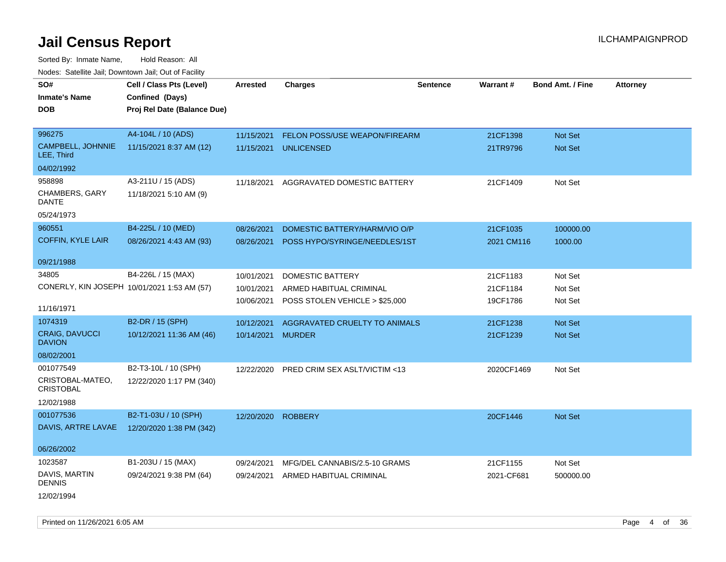Sorted By: Inmate Name, Hold Reason: All Nodes: Satellite Jail; Downtown Jail; Out of Facility

| SO#                                         | Cell / Class Pts (Level)    | <b>Arrested</b>    | <b>Charges</b>                 | <b>Sentence</b> | Warrant#   | <b>Bond Amt. / Fine</b> | <b>Attorney</b> |
|---------------------------------------------|-----------------------------|--------------------|--------------------------------|-----------------|------------|-------------------------|-----------------|
| <b>Inmate's Name</b>                        | Confined (Days)             |                    |                                |                 |            |                         |                 |
| DOB                                         | Proj Rel Date (Balance Due) |                    |                                |                 |            |                         |                 |
|                                             |                             |                    |                                |                 |            |                         |                 |
| 996275                                      | A4-104L / 10 (ADS)          | 11/15/2021         | FELON POSS/USE WEAPON/FIREARM  |                 | 21CF1398   | Not Set                 |                 |
| CAMPBELL, JOHNNIE<br>LEE, Third             | 11/15/2021 8:37 AM (12)     | 11/15/2021         | <b>UNLICENSED</b>              |                 | 21TR9796   | <b>Not Set</b>          |                 |
| 04/02/1992                                  |                             |                    |                                |                 |            |                         |                 |
| 958898                                      | A3-211U / 15 (ADS)          | 11/18/2021         | AGGRAVATED DOMESTIC BATTERY    |                 | 21CF1409   | Not Set                 |                 |
| CHAMBERS, GARY<br>DANTE                     | 11/18/2021 5:10 AM (9)      |                    |                                |                 |            |                         |                 |
| 05/24/1973                                  |                             |                    |                                |                 |            |                         |                 |
| 960551                                      | B4-225L / 10 (MED)          | 08/26/2021         | DOMESTIC BATTERY/HARM/VIO O/P  |                 | 21CF1035   | 100000.00               |                 |
| COFFIN, KYLE LAIR                           | 08/26/2021 4:43 AM (93)     | 08/26/2021         | POSS HYPO/SYRINGE/NEEDLES/1ST  |                 | 2021 CM116 | 1000.00                 |                 |
|                                             |                             |                    |                                |                 |            |                         |                 |
| 09/21/1988                                  |                             |                    |                                |                 |            |                         |                 |
| 34805                                       | B4-226L / 15 (MAX)          | 10/01/2021         | DOMESTIC BATTERY               |                 | 21CF1183   | Not Set                 |                 |
| CONERLY, KIN JOSEPH 10/01/2021 1:53 AM (57) |                             | 10/01/2021         | ARMED HABITUAL CRIMINAL        |                 | 21CF1184   | Not Set                 |                 |
|                                             |                             | 10/06/2021         | POSS STOLEN VEHICLE > \$25,000 |                 | 19CF1786   | Not Set                 |                 |
| 11/16/1971                                  |                             |                    |                                |                 |            |                         |                 |
| 1074319                                     | B2-DR / 15 (SPH)            | 10/12/2021         | AGGRAVATED CRUELTY TO ANIMALS  |                 | 21CF1238   | <b>Not Set</b>          |                 |
| <b>CRAIG, DAVUCCI</b><br><b>DAVION</b>      | 10/12/2021 11:36 AM (46)    | 10/14/2021         | <b>MURDER</b>                  |                 | 21CF1239   | <b>Not Set</b>          |                 |
| 08/02/2001                                  |                             |                    |                                |                 |            |                         |                 |
| 001077549                                   | B2-T3-10L / 10 (SPH)        | 12/22/2020         | PRED CRIM SEX ASLT/VICTIM <13  |                 | 2020CF1469 | Not Set                 |                 |
| CRISTOBAL-MATEO,<br><b>CRISTOBAL</b>        | 12/22/2020 1:17 PM (340)    |                    |                                |                 |            |                         |                 |
| 12/02/1988                                  |                             |                    |                                |                 |            |                         |                 |
| 001077536                                   | B2-T1-03U / 10 (SPH)        | 12/20/2020 ROBBERY |                                |                 | 20CF1446   | Not Set                 |                 |
| DAVIS, ARTRE LAVAE                          | 12/20/2020 1:38 PM (342)    |                    |                                |                 |            |                         |                 |
| 06/26/2002                                  |                             |                    |                                |                 |            |                         |                 |
| 1023587                                     | B1-203U / 15 (MAX)          | 09/24/2021         | MFG/DEL CANNABIS/2.5-10 GRAMS  |                 | 21CF1155   | Not Set                 |                 |
| DAVIS, MARTIN<br>DENNIS                     | 09/24/2021 9:38 PM (64)     | 09/24/2021         | ARMED HABITUAL CRIMINAL        |                 | 2021-CF681 | 500000.00               |                 |
| 12/02/1994                                  |                             |                    |                                |                 |            |                         |                 |

Printed on 11/26/2021 6:05 AM Page 4 of 36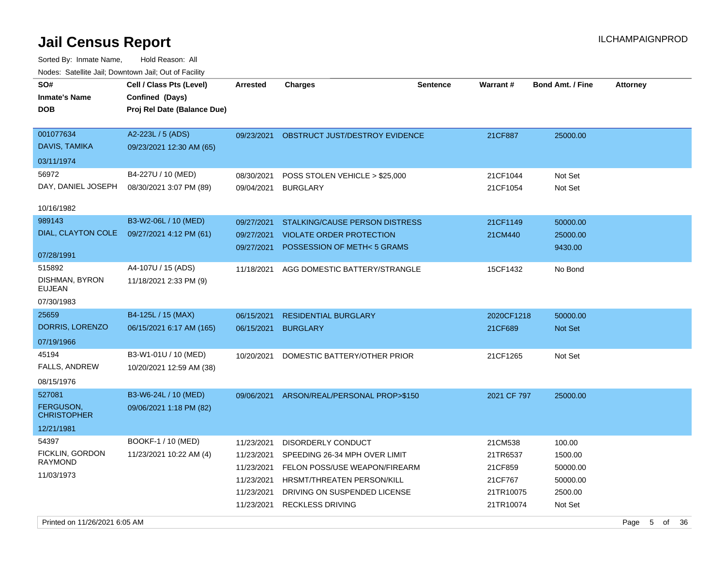| rougs. Calcinic Jan, Downtown Jan, Out of Facility             |                                                                            |                                                                                  |                                                                                                                                                                               |          |                                                                     |                                                                 |                 |
|----------------------------------------------------------------|----------------------------------------------------------------------------|----------------------------------------------------------------------------------|-------------------------------------------------------------------------------------------------------------------------------------------------------------------------------|----------|---------------------------------------------------------------------|-----------------------------------------------------------------|-----------------|
| SO#<br><b>Inmate's Name</b><br><b>DOB</b>                      | Cell / Class Pts (Level)<br>Confined (Days)<br>Proj Rel Date (Balance Due) | Arrested                                                                         | <b>Charges</b>                                                                                                                                                                | Sentence | Warrant#                                                            | Bond Amt. / Fine                                                | <b>Attorney</b> |
| 001077634<br>DAVIS, TAMIKA                                     | A2-223L / 5 (ADS)<br>09/23/2021 12:30 AM (65)                              | 09/23/2021                                                                       | OBSTRUCT JUST/DESTROY EVIDENCE                                                                                                                                                |          | 21CF887                                                             | 25000.00                                                        |                 |
| 03/11/1974<br>56972<br>DAY, DANIEL JOSEPH<br>10/16/1982        | B4-227U / 10 (MED)<br>08/30/2021 3:07 PM (89)                              | 08/30/2021<br>09/04/2021                                                         | POSS STOLEN VEHICLE > \$25,000<br><b>BURGLARY</b>                                                                                                                             |          | 21CF1044<br>21CF1054                                                | Not Set<br>Not Set                                              |                 |
| 989143<br>DIAL, CLAYTON COLE<br>07/28/1991                     | B3-W2-06L / 10 (MED)<br>09/27/2021 4:12 PM (61)                            | 09/27/2021<br>09/27/2021<br>09/27/2021                                           | STALKING/CAUSE PERSON DISTRESS<br><b>VIOLATE ORDER PROTECTION</b><br>POSSESSION OF METH<5 GRAMS                                                                               |          | 21CF1149<br>21CM440                                                 | 50000.00<br>25000.00<br>9430.00                                 |                 |
| 515892<br>DISHMAN, BYRON<br><b>EUJEAN</b><br>07/30/1983        | A4-107U / 15 (ADS)<br>11/18/2021 2:33 PM (9)                               | 11/18/2021                                                                       | AGG DOMESTIC BATTERY/STRANGLE                                                                                                                                                 |          | 15CF1432                                                            | No Bond                                                         |                 |
| 25659<br>DORRIS, LORENZO<br>07/19/1966                         | B4-125L / 15 (MAX)<br>06/15/2021 6:17 AM (165)                             | 06/15/2021<br>06/15/2021                                                         | <b>RESIDENTIAL BURGLARY</b><br><b>BURGLARY</b>                                                                                                                                |          | 2020CF1218<br>21CF689                                               | 50000.00<br>Not Set                                             |                 |
| 45194<br>FALLS, ANDREW<br>08/15/1976                           | B3-W1-01U / 10 (MED)<br>10/20/2021 12:59 AM (38)                           | 10/20/2021                                                                       | DOMESTIC BATTERY/OTHER PRIOR                                                                                                                                                  |          | 21CF1265                                                            | Not Set                                                         |                 |
| 527081<br><b>FERGUSON,</b><br><b>CHRISTOPHER</b><br>12/21/1981 | B3-W6-24L / 10 (MED)<br>09/06/2021 1:18 PM (82)                            | 09/06/2021                                                                       | ARSON/REAL/PERSONAL PROP>\$150                                                                                                                                                |          | 2021 CF 797                                                         | 25000.00                                                        |                 |
| 54397<br>FICKLIN, GORDON<br><b>RAYMOND</b><br>11/03/1973       | BOOKF-1 / 10 (MED)<br>11/23/2021 10:22 AM (4)                              | 11/23/2021<br>11/23/2021<br>11/23/2021<br>11/23/2021<br>11/23/2021<br>11/23/2021 | DISORDERLY CONDUCT<br>SPEEDING 26-34 MPH OVER LIMIT<br>FELON POSS/USE WEAPON/FIREARM<br>HRSMT/THREATEN PERSON/KILL<br>DRIVING ON SUSPENDED LICENSE<br><b>RECKLESS DRIVING</b> |          | 21CM538<br>21TR6537<br>21CF859<br>21CF767<br>21TR10075<br>21TR10074 | 100.00<br>1500.00<br>50000.00<br>50000.00<br>2500.00<br>Not Set |                 |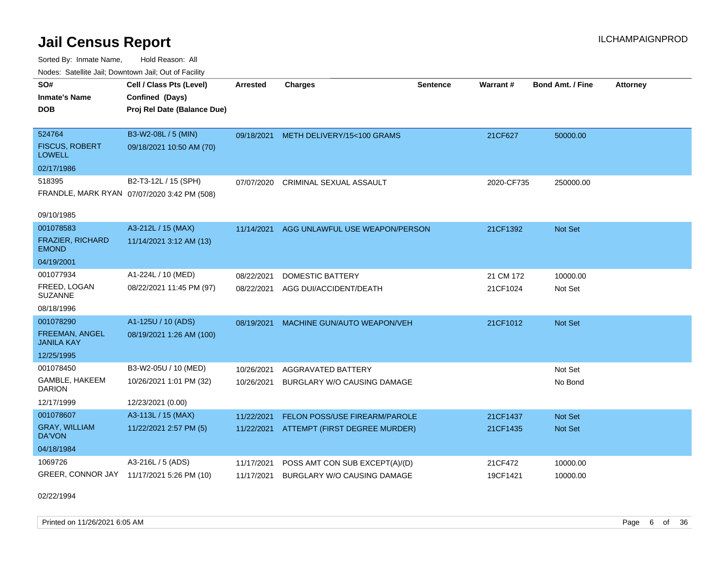Sorted By: Inmate Name, Hold Reason: All Nodes: Satellite Jail; Downtown Jail; Out of Facility

| Noues. Salenne Jan, Downtown Jan, Out of Facility |                                             |            |                                       |                 |            |                         |                 |
|---------------------------------------------------|---------------------------------------------|------------|---------------------------------------|-----------------|------------|-------------------------|-----------------|
| SO#                                               | Cell / Class Pts (Level)                    | Arrested   | <b>Charges</b>                        | <b>Sentence</b> | Warrant#   | <b>Bond Amt. / Fine</b> | <b>Attorney</b> |
| <b>Inmate's Name</b>                              | Confined (Days)                             |            |                                       |                 |            |                         |                 |
| <b>DOB</b>                                        | Proj Rel Date (Balance Due)                 |            |                                       |                 |            |                         |                 |
|                                                   |                                             |            |                                       |                 |            |                         |                 |
| 524764                                            | B3-W2-08L / 5 (MIN)                         |            | 09/18/2021 METH DELIVERY/15<100 GRAMS |                 | 21CF627    | 50000.00                |                 |
| <b>FISCUS, ROBERT</b><br><b>LOWELL</b>            | 09/18/2021 10:50 AM (70)                    |            |                                       |                 |            |                         |                 |
| 02/17/1986                                        |                                             |            |                                       |                 |            |                         |                 |
| 518395                                            | B2-T3-12L / 15 (SPH)                        | 07/07/2020 | <b>CRIMINAL SEXUAL ASSAULT</b>        |                 | 2020-CF735 | 250000.00               |                 |
|                                                   | FRANDLE, MARK RYAN 07/07/2020 3:42 PM (508) |            |                                       |                 |            |                         |                 |
|                                                   |                                             |            |                                       |                 |            |                         |                 |
| 09/10/1985                                        |                                             |            |                                       |                 |            |                         |                 |
| 001078583                                         | A3-212L / 15 (MAX)                          | 11/14/2021 | AGG UNLAWFUL USE WEAPON/PERSON        |                 | 21CF1392   | Not Set                 |                 |
| <b>FRAZIER, RICHARD</b><br><b>EMOND</b>           | 11/14/2021 3:12 AM (13)                     |            |                                       |                 |            |                         |                 |
| 04/19/2001                                        |                                             |            |                                       |                 |            |                         |                 |
| 001077934                                         | A1-224L / 10 (MED)                          | 08/22/2021 | <b>DOMESTIC BATTERY</b>               |                 | 21 CM 172  | 10000.00                |                 |
| FREED, LOGAN<br><b>SUZANNE</b>                    | 08/22/2021 11:45 PM (97)                    | 08/22/2021 | AGG DUI/ACCIDENT/DEATH                |                 | 21CF1024   | Not Set                 |                 |
| 08/18/1996                                        |                                             |            |                                       |                 |            |                         |                 |
| 001078290                                         | A1-125U / 10 (ADS)                          | 08/19/2021 | MACHINE GUN/AUTO WEAPON/VEH           |                 | 21CF1012   | Not Set                 |                 |
| FREEMAN, ANGEL<br><b>JANILA KAY</b>               | 08/19/2021 1:26 AM (100)                    |            |                                       |                 |            |                         |                 |
| 12/25/1995                                        |                                             |            |                                       |                 |            |                         |                 |
| 001078450                                         | B3-W2-05U / 10 (MED)                        | 10/26/2021 | <b>AGGRAVATED BATTERY</b>             |                 |            | Not Set                 |                 |
| GAMBLE, HAKEEM<br><b>DARION</b>                   | 10/26/2021 1:01 PM (32)                     | 10/26/2021 | BURGLARY W/O CAUSING DAMAGE           |                 |            | No Bond                 |                 |
| 12/17/1999                                        | 12/23/2021 (0.00)                           |            |                                       |                 |            |                         |                 |
| 001078607                                         | A3-113L / 15 (MAX)                          | 11/22/2021 | <b>FELON POSS/USE FIREARM/PAROLE</b>  |                 | 21CF1437   | <b>Not Set</b>          |                 |
| <b>GRAY, WILLIAM</b><br>DA'VON                    | 11/22/2021 2:57 PM (5)                      | 11/22/2021 | ATTEMPT (FIRST DEGREE MURDER)         |                 | 21CF1435   | <b>Not Set</b>          |                 |
| 04/18/1984                                        |                                             |            |                                       |                 |            |                         |                 |
| 1069726                                           | A3-216L / 5 (ADS)                           | 11/17/2021 | POSS AMT CON SUB EXCEPT(A)/(D)        |                 | 21CF472    | 10000.00                |                 |
| GREER, CONNOR JAY 11/17/2021 5:26 PM (10)         |                                             | 11/17/2021 | <b>BURGLARY W/O CAUSING DAMAGE</b>    |                 | 19CF1421   | 10000.00                |                 |

02/22/1994

Printed on 11/26/2021 6:05 AM **Page 6** of 36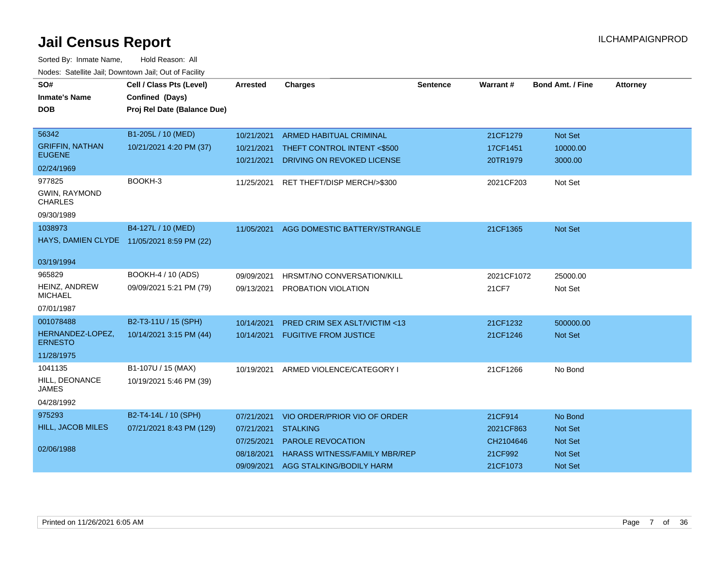| SO#                                     | Cell / Class Pts (Level)                   | <b>Arrested</b> | <b>Charges</b>                          | <b>Sentence</b> | <b>Warrant#</b> | <b>Bond Amt. / Fine</b> | <b>Attorney</b> |
|-----------------------------------------|--------------------------------------------|-----------------|-----------------------------------------|-----------------|-----------------|-------------------------|-----------------|
| <b>Inmate's Name</b>                    | Confined (Days)                            |                 |                                         |                 |                 |                         |                 |
| <b>DOB</b>                              | Proj Rel Date (Balance Due)                |                 |                                         |                 |                 |                         |                 |
|                                         |                                            |                 |                                         |                 |                 |                         |                 |
| 56342                                   | B1-205L / 10 (MED)                         | 10/21/2021      | <b>ARMED HABITUAL CRIMINAL</b>          |                 | 21CF1279        | Not Set                 |                 |
| <b>GRIFFIN, NATHAN</b><br><b>EUGENE</b> | 10/21/2021 4:20 PM (37)                    | 10/21/2021      | THEFT CONTROL INTENT <\$500             |                 | 17CF1451        | 10000.00                |                 |
| 02/24/1969                              |                                            | 10/21/2021      | DRIVING ON REVOKED LICENSE              |                 | 20TR1979        | 3000.00                 |                 |
| 977825                                  | BOOKH-3                                    | 11/25/2021      | RET THEFT/DISP MERCH/>\$300             |                 | 2021CF203       | Not Set                 |                 |
| <b>GWIN, RAYMOND</b><br><b>CHARLES</b>  |                                            |                 |                                         |                 |                 |                         |                 |
| 09/30/1989                              |                                            |                 |                                         |                 |                 |                         |                 |
| 1038973                                 | B4-127L / 10 (MED)                         | 11/05/2021      | AGG DOMESTIC BATTERY/STRANGLE           |                 | 21CF1365        | <b>Not Set</b>          |                 |
|                                         | HAYS, DAMIEN CLYDE 11/05/2021 8:59 PM (22) |                 |                                         |                 |                 |                         |                 |
| 03/19/1994                              |                                            |                 |                                         |                 |                 |                         |                 |
| 965829                                  | BOOKH-4 / 10 (ADS)                         | 09/09/2021      | <b>HRSMT/NO CONVERSATION/KILL</b>       |                 | 2021CF1072      | 25000.00                |                 |
| <b>HEINZ, ANDREW</b><br><b>MICHAEL</b>  | 09/09/2021 5:21 PM (79)                    | 09/13/2021      | PROBATION VIOLATION                     |                 | 21CF7           | Not Set                 |                 |
| 07/01/1987                              |                                            |                 |                                         |                 |                 |                         |                 |
| 001078488                               | B2-T3-11U / 15 (SPH)                       | 10/14/2021      | <b>PRED CRIM SEX ASLT/VICTIM &lt;13</b> |                 | 21CF1232        | 500000.00               |                 |
| HERNANDEZ-LOPEZ,<br><b>ERNESTO</b>      | 10/14/2021 3:15 PM (44)                    | 10/14/2021      | <b>FUGITIVE FROM JUSTICE</b>            |                 | 21CF1246        | <b>Not Set</b>          |                 |
| 11/28/1975                              |                                            |                 |                                         |                 |                 |                         |                 |
| 1041135                                 | B1-107U / 15 (MAX)                         | 10/19/2021      | ARMED VIOLENCE/CATEGORY I               |                 | 21CF1266        | No Bond                 |                 |
| HILL, DEONANCE<br><b>JAMES</b>          | 10/19/2021 5:46 PM (39)                    |                 |                                         |                 |                 |                         |                 |
| 04/28/1992                              |                                            |                 |                                         |                 |                 |                         |                 |
| 975293                                  | B2-T4-14L / 10 (SPH)                       | 07/21/2021      | VIO ORDER/PRIOR VIO OF ORDER            |                 | 21CF914         | No Bond                 |                 |
| <b>HILL, JACOB MILES</b>                | 07/21/2021 8:43 PM (129)                   | 07/21/2021      | <b>STALKING</b>                         |                 | 2021CF863       | <b>Not Set</b>          |                 |
|                                         |                                            | 07/25/2021      | <b>PAROLE REVOCATION</b>                |                 | CH2104646       | <b>Not Set</b>          |                 |
| 02/06/1988                              |                                            | 08/18/2021      | <b>HARASS WITNESS/FAMILY MBR/REP</b>    |                 | 21CF992         | <b>Not Set</b>          |                 |
|                                         |                                            | 09/09/2021      | AGG STALKING/BODILY HARM                |                 | 21CF1073        | <b>Not Set</b>          |                 |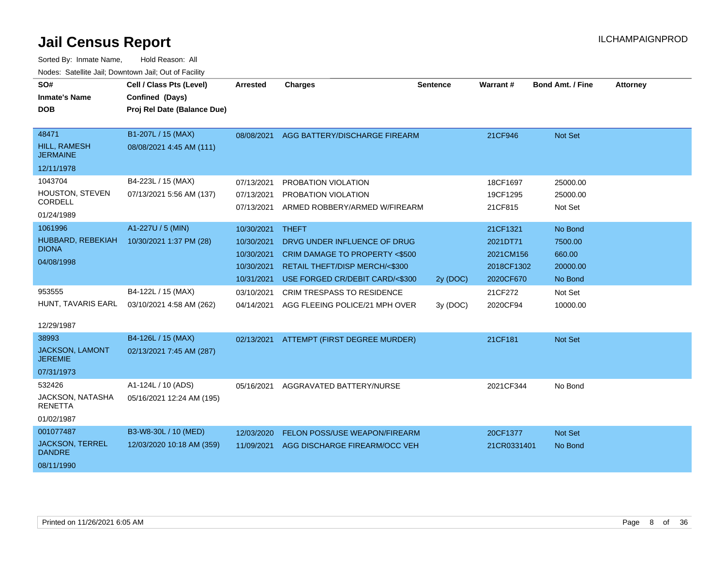| SO#                                      | Cell / Class Pts (Level)    | <b>Arrested</b> | <b>Charges</b>                           | <b>Sentence</b> | <b>Warrant#</b> | <b>Bond Amt. / Fine</b> | <b>Attorney</b> |
|------------------------------------------|-----------------------------|-----------------|------------------------------------------|-----------------|-----------------|-------------------------|-----------------|
| <b>Inmate's Name</b>                     | Confined (Days)             |                 |                                          |                 |                 |                         |                 |
| <b>DOB</b>                               | Proj Rel Date (Balance Due) |                 |                                          |                 |                 |                         |                 |
|                                          |                             |                 |                                          |                 |                 |                         |                 |
| 48471                                    | B1-207L / 15 (MAX)          | 08/08/2021      | AGG BATTERY/DISCHARGE FIREARM            |                 | 21CF946         | <b>Not Set</b>          |                 |
| <b>HILL, RAMESH</b><br><b>JERMAINE</b>   | 08/08/2021 4:45 AM (111)    |                 |                                          |                 |                 |                         |                 |
| 12/11/1978                               |                             |                 |                                          |                 |                 |                         |                 |
| 1043704                                  | B4-223L / 15 (MAX)          | 07/13/2021      | PROBATION VIOLATION                      |                 | 18CF1697        | 25000.00                |                 |
| HOUSTON, STEVEN                          | 07/13/2021 5:56 AM (137)    | 07/13/2021      | PROBATION VIOLATION                      |                 | 19CF1295        | 25000.00                |                 |
| CORDELL                                  |                             | 07/13/2021      | ARMED ROBBERY/ARMED W/FIREARM            |                 | 21CF815         | Not Set                 |                 |
| 01/24/1989                               |                             |                 |                                          |                 |                 |                         |                 |
| 1061996                                  | A1-227U / 5 (MIN)           | 10/30/2021      | <b>THEFT</b>                             |                 | 21CF1321        | No Bond                 |                 |
| HUBBARD, REBEKIAH<br><b>DIONA</b>        | 10/30/2021 1:37 PM (28)     | 10/30/2021      | DRVG UNDER INFLUENCE OF DRUG             |                 | 2021DT71        | 7500.00                 |                 |
| 04/08/1998                               |                             | 10/30/2021      | CRIM DAMAGE TO PROPERTY <\$500           |                 | 2021CM156       | 660.00                  |                 |
|                                          |                             | 10/30/2021      | <b>RETAIL THEFT/DISP MERCH/&lt;\$300</b> |                 | 2018CF1302      | 20000.00                |                 |
|                                          |                             | 10/31/2021      | USE FORGED CR/DEBIT CARD/<\$300          | 2y (DOC)        | 2020CF670       | No Bond                 |                 |
| 953555                                   | B4-122L / 15 (MAX)          | 03/10/2021      | <b>CRIM TRESPASS TO RESIDENCE</b>        |                 | 21CF272         | Not Set                 |                 |
| HUNT, TAVARIS EARL                       | 03/10/2021 4:58 AM (262)    | 04/14/2021      | AGG FLEEING POLICE/21 MPH OVER           | 3y(DOC)         | 2020CF94        | 10000.00                |                 |
|                                          |                             |                 |                                          |                 |                 |                         |                 |
| 12/29/1987                               |                             |                 |                                          |                 |                 |                         |                 |
| 38993                                    | B4-126L / 15 (MAX)          | 02/13/2021      | ATTEMPT (FIRST DEGREE MURDER)            |                 | 21CF181         | Not Set                 |                 |
| <b>JACKSON, LAMONT</b><br><b>JEREMIE</b> | 02/13/2021 7:45 AM (287)    |                 |                                          |                 |                 |                         |                 |
| 07/31/1973                               |                             |                 |                                          |                 |                 |                         |                 |
| 532426                                   | A1-124L / 10 (ADS)          | 05/16/2021      | AGGRAVATED BATTERY/NURSE                 |                 | 2021CF344       | No Bond                 |                 |
| JACKSON, NATASHA<br><b>RENETTA</b>       | 05/16/2021 12:24 AM (195)   |                 |                                          |                 |                 |                         |                 |
| 01/02/1987                               |                             |                 |                                          |                 |                 |                         |                 |
| 001077487                                | B3-W8-30L / 10 (MED)        | 12/03/2020      | FELON POSS/USE WEAPON/FIREARM            |                 | 20CF1377        | <b>Not Set</b>          |                 |
| <b>JACKSON, TERREL</b><br><b>DANDRE</b>  | 12/03/2020 10:18 AM (359)   | 11/09/2021      | AGG DISCHARGE FIREARM/OCC VEH            |                 | 21CR0331401     | No Bond                 |                 |
| 08/11/1990                               |                             |                 |                                          |                 |                 |                         |                 |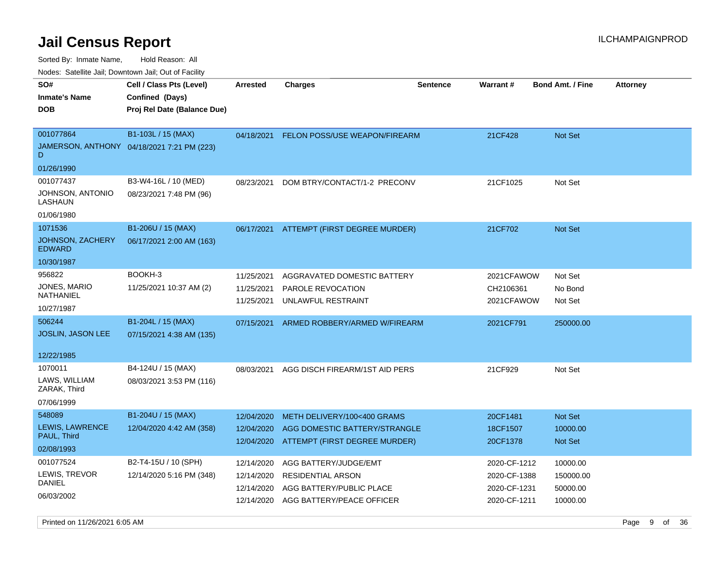Sorted By: Inmate Name, Hold Reason: All

Nodes: Satellite Jail; Downtown Jail; Out of Facility

| SO#<br><b>Inmate's Name</b><br><b>DOB</b>                  | Cell / Class Pts (Level)<br>Confined (Days)<br>Proj Rel Date (Balance Due) | <b>Arrested</b>                                      | <b>Charges</b>                                                                                             | <b>Sentence</b> | <b>Warrant#</b>                                              | <b>Bond Amt. / Fine</b>                       | <b>Attorney</b> |
|------------------------------------------------------------|----------------------------------------------------------------------------|------------------------------------------------------|------------------------------------------------------------------------------------------------------------|-----------------|--------------------------------------------------------------|-----------------------------------------------|-----------------|
| 001077864<br>D<br>01/26/1990                               | B1-103L / 15 (MAX)<br>JAMERSON, ANTHONY 04/18/2021 7:21 PM (223)           | 04/18/2021                                           | FELON POSS/USE WEAPON/FIREARM                                                                              |                 | 21CF428                                                      | <b>Not Set</b>                                |                 |
| 001077437<br>JOHNSON, ANTONIO<br>LASHAUN<br>01/06/1980     | B3-W4-16L / 10 (MED)<br>08/23/2021 7:48 PM (96)                            | 08/23/2021                                           | DOM BTRY/CONTACT/1-2 PRECONV                                                                               |                 | 21CF1025                                                     | Not Set                                       |                 |
| 1071536<br>JOHNSON, ZACHERY<br><b>EDWARD</b><br>10/30/1987 | B1-206U / 15 (MAX)<br>06/17/2021 2:00 AM (163)                             | 06/17/2021                                           | ATTEMPT (FIRST DEGREE MURDER)                                                                              |                 | 21CF702                                                      | <b>Not Set</b>                                |                 |
| 956822<br>JONES, MARIO<br>NATHANIEL<br>10/27/1987          | BOOKH-3<br>11/25/2021 10:37 AM (2)                                         | 11/25/2021<br>11/25/2021<br>11/25/2021               | AGGRAVATED DOMESTIC BATTERY<br>PAROLE REVOCATION<br>UNLAWFUL RESTRAINT                                     |                 | 2021CFAWOW<br>CH2106361<br>2021CFAWOW                        | Not Set<br>No Bond<br>Not Set                 |                 |
| 506244<br><b>JOSLIN, JASON LEE</b><br>12/22/1985           | B1-204L / 15 (MAX)<br>07/15/2021 4:38 AM (135)                             | 07/15/2021                                           | ARMED ROBBERY/ARMED W/FIREARM                                                                              |                 | 2021CF791                                                    | 250000.00                                     |                 |
| 1070011<br>LAWS, WILLIAM<br>ZARAK, Third<br>07/06/1999     | B4-124U / 15 (MAX)<br>08/03/2021 3:53 PM (116)                             | 08/03/2021                                           | AGG DISCH FIREARM/1ST AID PERS                                                                             |                 | 21CF929                                                      | Not Set                                       |                 |
| 548089<br>LEWIS, LAWRENCE<br>PAUL, Third<br>02/08/1993     | B1-204U / 15 (MAX)<br>12/04/2020 4:42 AM (358)                             | 12/04/2020<br>12/04/2020                             | METH DELIVERY/100<400 GRAMS<br>AGG DOMESTIC BATTERY/STRANGLE<br>12/04/2020 ATTEMPT (FIRST DEGREE MURDER)   |                 | 20CF1481<br>18CF1507<br>20CF1378                             | Not Set<br>10000.00<br>Not Set                |                 |
| 001077524<br>LEWIS, TREVOR<br><b>DANIEL</b><br>06/03/2002  | B2-T4-15U / 10 (SPH)<br>12/14/2020 5:16 PM (348)                           | 12/14/2020<br>12/14/2020<br>12/14/2020<br>12/14/2020 | AGG BATTERY/JUDGE/EMT<br><b>RESIDENTIAL ARSON</b><br>AGG BATTERY/PUBLIC PLACE<br>AGG BATTERY/PEACE OFFICER |                 | 2020-CF-1212<br>2020-CF-1388<br>2020-CF-1231<br>2020-CF-1211 | 10000.00<br>150000.00<br>50000.00<br>10000.00 |                 |

Printed on 11/26/2021 6:05 AM Page 9 of 36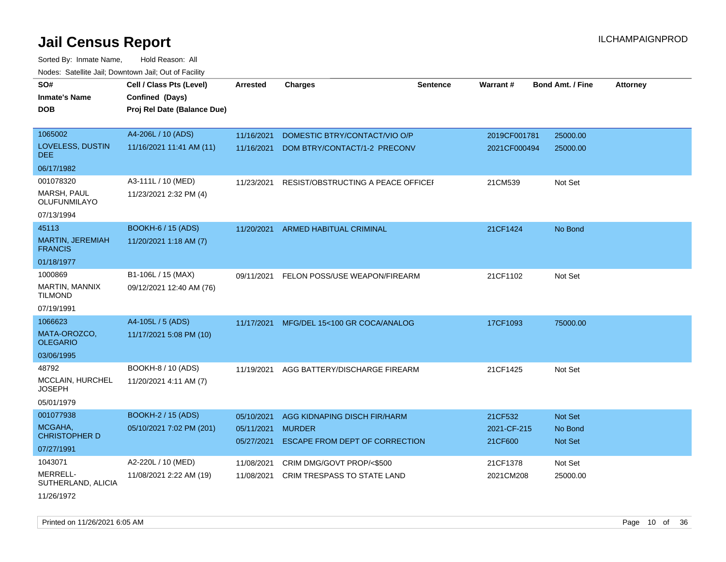| SO#<br><b>Inmate's Name</b>        | Cell / Class Pts (Level)<br>Confined (Days) | <b>Arrested</b>          | <b>Charges</b>                                  | <b>Sentence</b> | Warrant#               | <b>Bond Amt. / Fine</b> | <b>Attorney</b> |
|------------------------------------|---------------------------------------------|--------------------------|-------------------------------------------------|-----------------|------------------------|-------------------------|-----------------|
|                                    |                                             |                          |                                                 |                 |                        |                         |                 |
| <b>DOB</b>                         | Proj Rel Date (Balance Due)                 |                          |                                                 |                 |                        |                         |                 |
| 1065002                            | A4-206L / 10 (ADS)                          | 11/16/2021               | DOMESTIC BTRY/CONTACT/VIO O/P                   |                 | 2019CF001781           | 25000.00                |                 |
| LOVELESS, DUSTIN<br>DEE.           | 11/16/2021 11:41 AM (11)                    | 11/16/2021               | DOM BTRY/CONTACT/1-2 PRECONV                    |                 | 2021CF000494           | 25000.00                |                 |
| 06/17/1982                         |                                             |                          |                                                 |                 |                        |                         |                 |
| 001078320                          | A3-111L / 10 (MED)                          | 11/23/2021               | RESIST/OBSTRUCTING A PEACE OFFICEF              |                 | 21CM539                | Not Set                 |                 |
| MARSH, PAUL<br>OLUFUNMILAYO        | 11/23/2021 2:32 PM (4)                      |                          |                                                 |                 |                        |                         |                 |
| 07/13/1994                         |                                             |                          |                                                 |                 |                        |                         |                 |
| 45113                              | <b>BOOKH-6 / 15 (ADS)</b>                   |                          | 11/20/2021 ARMED HABITUAL CRIMINAL              |                 | 21CF1424               | No Bond                 |                 |
| MARTIN, JEREMIAH<br><b>FRANCIS</b> | 11/20/2021 1:18 AM (7)                      |                          |                                                 |                 |                        |                         |                 |
| 01/18/1977                         |                                             |                          |                                                 |                 |                        |                         |                 |
| 1000869                            | B1-106L / 15 (MAX)                          | 09/11/2021               | FELON POSS/USE WEAPON/FIREARM                   |                 | 21CF1102               | Not Set                 |                 |
| MARTIN, MANNIX<br><b>TILMOND</b>   | 09/12/2021 12:40 AM (76)                    |                          |                                                 |                 |                        |                         |                 |
| 07/19/1991                         |                                             |                          |                                                 |                 |                        |                         |                 |
| 1066623                            | A4-105L / 5 (ADS)                           | 11/17/2021               | MFG/DEL 15<100 GR COCA/ANALOG                   |                 | 17CF1093               | 75000.00                |                 |
| MATA-OROZCO,<br><b>OLEGARIO</b>    | 11/17/2021 5:08 PM (10)                     |                          |                                                 |                 |                        |                         |                 |
| 03/06/1995                         |                                             |                          |                                                 |                 |                        |                         |                 |
| 48792                              | BOOKH-8 / 10 (ADS)                          | 11/19/2021               | AGG BATTERY/DISCHARGE FIREARM                   |                 | 21CF1425               | Not Set                 |                 |
| MCCLAIN, HURCHEL<br><b>JOSEPH</b>  | 11/20/2021 4:11 AM (7)                      |                          |                                                 |                 |                        |                         |                 |
| 05/01/1979                         |                                             |                          |                                                 |                 |                        |                         |                 |
| 001077938                          | <b>BOOKH-2 / 15 (ADS)</b>                   | 05/10/2021               | AGG KIDNAPING DISCH FIR/HARM                    |                 | 21CF532                | Not Set                 |                 |
| MCGAHA,<br><b>CHRISTOPHER D</b>    | 05/10/2021 7:02 PM (201)                    | 05/11/2021<br>05/27/2021 | <b>MURDER</b><br>ESCAPE FROM DEPT OF CORRECTION |                 | 2021-CF-215<br>21CF600 | No Bond<br>Not Set      |                 |
| 07/27/1991                         |                                             |                          |                                                 |                 |                        |                         |                 |
| 1043071                            | A2-220L / 10 (MED)                          | 11/08/2021               | CRIM DMG/GOVT PROP/<\$500                       |                 | 21CF1378               | Not Set                 |                 |
| MERRELL-<br>SUTHERLAND, ALICIA     | 11/08/2021 2:22 AM (19)                     | 11/08/2021               | CRIM TRESPASS TO STATE LAND                     |                 | 2021CM208              | 25000.00                |                 |
| 11/26/1972                         |                                             |                          |                                                 |                 |                        |                         |                 |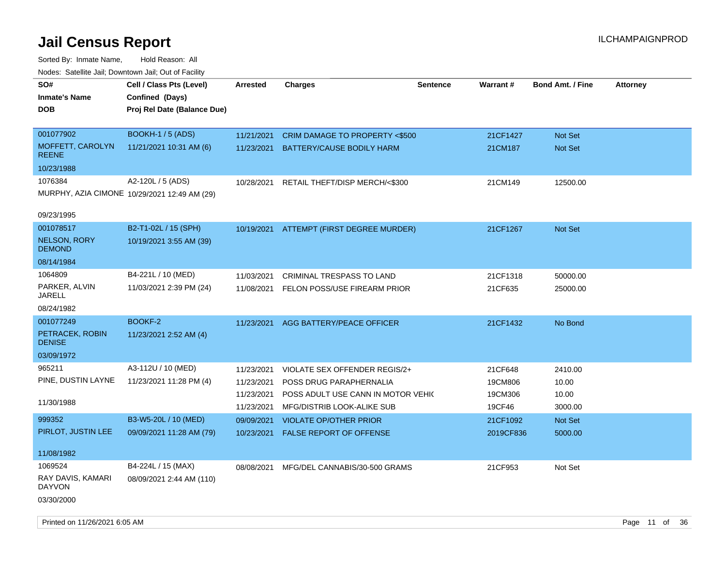| roacs. Catellite Jall, Downtown Jall, Out of Facility |                                              |                 |                                          |                 |           |                         |                 |
|-------------------------------------------------------|----------------------------------------------|-----------------|------------------------------------------|-----------------|-----------|-------------------------|-----------------|
| SO#                                                   | Cell / Class Pts (Level)                     | <b>Arrested</b> | <b>Charges</b>                           | <b>Sentence</b> | Warrant#  | <b>Bond Amt. / Fine</b> | <b>Attorney</b> |
| <b>Inmate's Name</b>                                  | Confined (Days)                              |                 |                                          |                 |           |                         |                 |
| <b>DOB</b>                                            | Proj Rel Date (Balance Due)                  |                 |                                          |                 |           |                         |                 |
|                                                       |                                              |                 |                                          |                 |           |                         |                 |
| 001077902                                             | <b>BOOKH-1/5 (ADS)</b>                       | 11/21/2021      | CRIM DAMAGE TO PROPERTY <\$500           |                 | 21CF1427  | Not Set                 |                 |
| MOFFETT, CAROLYN<br><b>REENE</b>                      | 11/21/2021 10:31 AM (6)                      | 11/23/2021      | BATTERY/CAUSE BODILY HARM                |                 | 21CM187   | Not Set                 |                 |
| 10/23/1988                                            |                                              |                 |                                          |                 |           |                         |                 |
| 1076384                                               | A2-120L / 5 (ADS)                            | 10/28/2021      | RETAIL THEFT/DISP MERCH/<\$300           |                 | 21CM149   | 12500.00                |                 |
|                                                       | MURPHY, AZIA CIMONE 10/29/2021 12:49 AM (29) |                 |                                          |                 |           |                         |                 |
|                                                       |                                              |                 |                                          |                 |           |                         |                 |
| 09/23/1995                                            |                                              |                 |                                          |                 |           |                         |                 |
| 001078517                                             | B2-T1-02L / 15 (SPH)                         |                 | 10/19/2021 ATTEMPT (FIRST DEGREE MURDER) |                 | 21CF1267  | Not Set                 |                 |
| <b>NELSON, RORY</b><br><b>DEMOND</b>                  | 10/19/2021 3:55 AM (39)                      |                 |                                          |                 |           |                         |                 |
| 08/14/1984                                            |                                              |                 |                                          |                 |           |                         |                 |
| 1064809                                               | B4-221L / 10 (MED)                           | 11/03/2021      | CRIMINAL TRESPASS TO LAND                |                 | 21CF1318  | 50000.00                |                 |
| PARKER, ALVIN<br><b>JARELL</b>                        | 11/03/2021 2:39 PM (24)                      |                 | 11/08/2021 FELON POSS/USE FIREARM PRIOR  |                 | 21CF635   | 25000.00                |                 |
| 08/24/1982                                            |                                              |                 |                                          |                 |           |                         |                 |
| 001077249                                             | <b>BOOKF-2</b>                               |                 | 11/23/2021 AGG BATTERY/PEACE OFFICER     |                 | 21CF1432  | No Bond                 |                 |
| PETRACEK, ROBIN                                       | 11/23/2021 2:52 AM (4)                       |                 |                                          |                 |           |                         |                 |
| <b>DENISE</b>                                         |                                              |                 |                                          |                 |           |                         |                 |
| 03/09/1972                                            |                                              |                 |                                          |                 |           |                         |                 |
| 965211                                                | A3-112U / 10 (MED)                           | 11/23/2021      | VIOLATE SEX OFFENDER REGIS/2+            |                 | 21CF648   | 2410.00                 |                 |
| PINE, DUSTIN LAYNE                                    | 11/23/2021 11:28 PM (4)                      | 11/23/2021      | POSS DRUG PARAPHERNALIA                  |                 | 19CM806   | 10.00                   |                 |
|                                                       |                                              | 11/23/2021      | POSS ADULT USE CANN IN MOTOR VEHIC       |                 | 19CM306   | 10.00                   |                 |
| 11/30/1988                                            |                                              | 11/23/2021      | MFG/DISTRIB LOOK-ALIKE SUB               |                 | 19CF46    | 3000.00                 |                 |
| 999352                                                | B3-W5-20L / 10 (MED)                         | 09/09/2021      | <b>VIOLATE OP/OTHER PRIOR</b>            |                 | 21CF1092  | Not Set                 |                 |
| PIRLOT, JUSTIN LEE                                    | 09/09/2021 11:28 AM (79)                     | 10/23/2021      | <b>FALSE REPORT OF OFFENSE</b>           |                 | 2019CF836 | 5000.00                 |                 |
|                                                       |                                              |                 |                                          |                 |           |                         |                 |
| 11/08/1982                                            |                                              |                 |                                          |                 |           |                         |                 |
| 1069524                                               | B4-224L / 15 (MAX)                           | 08/08/2021      | MFG/DEL CANNABIS/30-500 GRAMS            |                 | 21CF953   | Not Set                 |                 |
| RAY DAVIS, KAMARI                                     | 08/09/2021 2:44 AM (110)                     |                 |                                          |                 |           |                         |                 |
| <b>DAYVON</b>                                         |                                              |                 |                                          |                 |           |                         |                 |
| 03/30/2000                                            |                                              |                 |                                          |                 |           |                         |                 |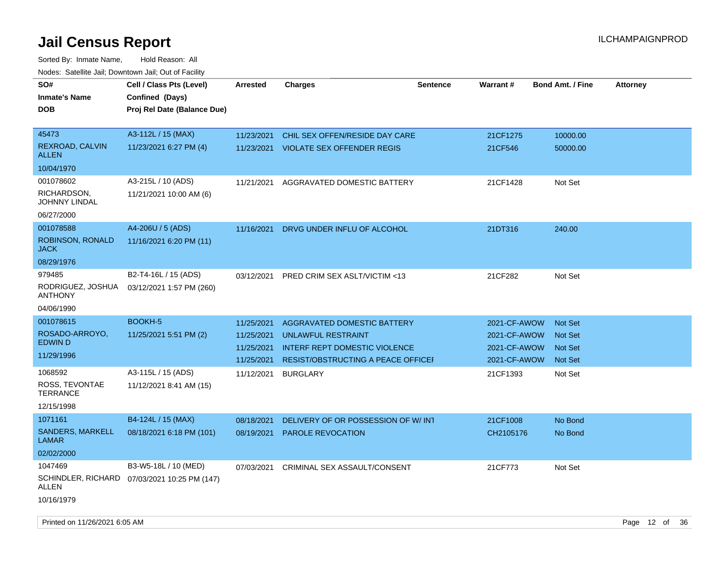| SO#<br>Inmate's Name                | Cell / Class Pts (Level)<br>Confined (Days)                          | <b>Arrested</b> | <b>Charges</b>                            | <b>Sentence</b> | Warrant#     | <b>Bond Amt. / Fine</b> | <b>Attorney</b> |
|-------------------------------------|----------------------------------------------------------------------|-----------------|-------------------------------------------|-----------------|--------------|-------------------------|-----------------|
| DOB                                 | Proj Rel Date (Balance Due)                                          |                 |                                           |                 |              |                         |                 |
| 45473                               | A3-112L / 15 (MAX)                                                   | 11/23/2021      | CHIL SEX OFFEN/RESIDE DAY CARE            |                 | 21CF1275     | 10000.00                |                 |
| REXROAD, CALVIN<br><b>ALLEN</b>     | 11/23/2021 6:27 PM (4)                                               | 11/23/2021      | <b>VIOLATE SEX OFFENDER REGIS</b>         |                 | 21CF546      | 50000.00                |                 |
| 10/04/1970                          |                                                                      |                 |                                           |                 |              |                         |                 |
| 001078602                           | A3-215L / 10 (ADS)                                                   | 11/21/2021      | AGGRAVATED DOMESTIC BATTERY               |                 | 21CF1428     | Not Set                 |                 |
| RICHARDSON,<br>JOHNNY LINDAL        | 11/21/2021 10:00 AM (6)                                              |                 |                                           |                 |              |                         |                 |
| 06/27/2000                          |                                                                      |                 |                                           |                 |              |                         |                 |
| 001078588                           | A4-206U / 5 (ADS)                                                    | 11/16/2021      | DRVG UNDER INFLU OF ALCOHOL               |                 | 21DT316      | 240.00                  |                 |
| ROBINSON, RONALD<br><b>JACK</b>     | 11/16/2021 6:20 PM (11)                                              |                 |                                           |                 |              |                         |                 |
| 08/29/1976                          |                                                                      |                 |                                           |                 |              |                         |                 |
| 979485                              | B2-T4-16L / 15 (ADS)                                                 | 03/12/2021      | PRED CRIM SEX ASLT/VICTIM <13             |                 | 21CF282      | Not Set                 |                 |
| RODRIGUEZ, JOSHUA<br><b>ANTHONY</b> | 03/12/2021 1:57 PM (260)                                             |                 |                                           |                 |              |                         |                 |
| 04/06/1990                          |                                                                      |                 |                                           |                 |              |                         |                 |
| 001078615                           | BOOKH-5                                                              | 11/25/2021      | <b>AGGRAVATED DOMESTIC BATTERY</b>        |                 | 2021-CF-AWOW | <b>Not Set</b>          |                 |
| ROSADO-ARROYO,<br>EDWIN D           | 11/25/2021 5:51 PM (2)                                               | 11/25/2021      | <b>UNLAWFUL RESTRAINT</b>                 |                 | 2021-CF-AWOW | Not Set                 |                 |
|                                     |                                                                      | 11/25/2021      | <b>INTERF REPT DOMESTIC VIOLENCE</b>      |                 | 2021-CF-AWOW | <b>Not Set</b>          |                 |
| 11/29/1996                          |                                                                      | 11/25/2021      | <b>RESIST/OBSTRUCTING A PEACE OFFICEF</b> |                 | 2021-CF-AWOW | <b>Not Set</b>          |                 |
| 1068592                             | A3-115L / 15 (ADS)                                                   | 11/12/2021      | <b>BURGLARY</b>                           |                 | 21CF1393     | Not Set                 |                 |
| ROSS, TEVONTAE<br><b>TERRANCE</b>   | 11/12/2021 8:41 AM (15)                                              |                 |                                           |                 |              |                         |                 |
| 12/15/1998                          |                                                                      |                 |                                           |                 |              |                         |                 |
| 1071161                             | B4-124L / 15 (MAX)                                                   | 08/18/2021      | DELIVERY OF OR POSSESSION OF W/INT        |                 | 21CF1008     | No Bond                 |                 |
| SANDERS, MARKELL<br>LAMAR           | 08/18/2021 6:18 PM (101)                                             | 08/19/2021      | <b>PAROLE REVOCATION</b>                  |                 | CH2105176    | No Bond                 |                 |
| 02/02/2000                          |                                                                      |                 |                                           |                 |              |                         |                 |
| 1047469<br>ALLEN                    | B3-W5-18L / 10 (MED)<br>SCHINDLER, RICHARD 07/03/2021 10:25 PM (147) | 07/03/2021      | CRIMINAL SEX ASSAULT/CONSENT              |                 | 21CF773      | Not Set                 |                 |
| 10/16/1979                          |                                                                      |                 |                                           |                 |              |                         |                 |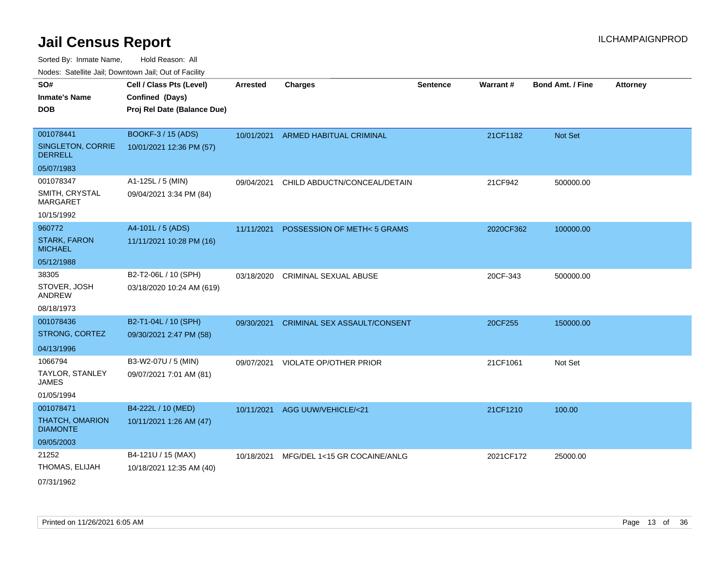Sorted By: Inmate Name, Hold Reason: All

Nodes: Satellite Jail; Downtown Jail; Out of Facility

| SO#                                   | Cell / Class Pts (Level)    | <b>Arrested</b> | <b>Charges</b>                      | <b>Sentence</b> | Warrant#  | <b>Bond Amt. / Fine</b> | <b>Attorney</b> |
|---------------------------------------|-----------------------------|-----------------|-------------------------------------|-----------------|-----------|-------------------------|-----------------|
| <b>Inmate's Name</b>                  |                             |                 |                                     |                 |           |                         |                 |
|                                       | Confined (Days)             |                 |                                     |                 |           |                         |                 |
| <b>DOB</b>                            | Proj Rel Date (Balance Due) |                 |                                     |                 |           |                         |                 |
|                                       |                             |                 |                                     |                 |           |                         |                 |
| 001078441                             | <b>BOOKF-3 / 15 (ADS)</b>   |                 | 10/01/2021 ARMED HABITUAL CRIMINAL  |                 | 21CF1182  | Not Set                 |                 |
| SINGLETON, CORRIE<br><b>DERRELL</b>   | 10/01/2021 12:36 PM (57)    |                 |                                     |                 |           |                         |                 |
| 05/07/1983                            |                             |                 |                                     |                 |           |                         |                 |
| 001078347                             | A1-125L / 5 (MIN)           | 09/04/2021      | CHILD ABDUCTN/CONCEAL/DETAIN        |                 | 21CF942   | 500000.00               |                 |
| SMITH, CRYSTAL<br><b>MARGARET</b>     | 09/04/2021 3:34 PM (84)     |                 |                                     |                 |           |                         |                 |
| 10/15/1992                            |                             |                 |                                     |                 |           |                         |                 |
| 960772                                | A4-101L / 5 (ADS)           | 11/11/2021      | POSSESSION OF METH<5 GRAMS          |                 | 2020CF362 | 100000.00               |                 |
| <b>STARK, FARON</b><br><b>MICHAEL</b> | 11/11/2021 10:28 PM (16)    |                 |                                     |                 |           |                         |                 |
| 05/12/1988                            |                             |                 |                                     |                 |           |                         |                 |
|                                       |                             |                 |                                     |                 |           |                         |                 |
| 38305                                 | B2-T2-06L / 10 (SPH)        | 03/18/2020      | <b>CRIMINAL SEXUAL ABUSE</b>        |                 | 20CF-343  | 500000.00               |                 |
| STOVER, JOSH<br><b>ANDREW</b>         | 03/18/2020 10:24 AM (619)   |                 |                                     |                 |           |                         |                 |
| 08/18/1973                            |                             |                 |                                     |                 |           |                         |                 |
| 001078436                             | B2-T1-04L / 10 (SPH)        | 09/30/2021      | <b>CRIMINAL SEX ASSAULT/CONSENT</b> |                 | 20CF255   | 150000.00               |                 |
| STRONG, CORTEZ                        | 09/30/2021 2:47 PM (58)     |                 |                                     |                 |           |                         |                 |
| 04/13/1996                            |                             |                 |                                     |                 |           |                         |                 |
| 1066794                               | B3-W2-07U / 5 (MIN)         | 09/07/2021      | <b>VIOLATE OP/OTHER PRIOR</b>       |                 | 21CF1061  | Not Set                 |                 |
| TAYLOR, STANLEY<br><b>JAMES</b>       | 09/07/2021 7:01 AM (81)     |                 |                                     |                 |           |                         |                 |
| 01/05/1994                            |                             |                 |                                     |                 |           |                         |                 |
| 001078471                             | B4-222L / 10 (MED)          | 10/11/2021      | AGG UUW/VEHICLE/<21                 |                 | 21CF1210  | 100.00                  |                 |
| THATCH, OMARION<br><b>DIAMONTE</b>    | 10/11/2021 1:26 AM (47)     |                 |                                     |                 |           |                         |                 |
| 09/05/2003                            |                             |                 |                                     |                 |           |                         |                 |
| 21252                                 | B4-121U / 15 (MAX)          | 10/18/2021      | MFG/DEL 1<15 GR COCAINE/ANLG        |                 | 2021CF172 | 25000.00                |                 |
| THOMAS, ELIJAH                        | 10/18/2021 12:35 AM (40)    |                 |                                     |                 |           |                         |                 |
| 07/21/1062                            |                             |                 |                                     |                 |           |                         |                 |

07/31/1962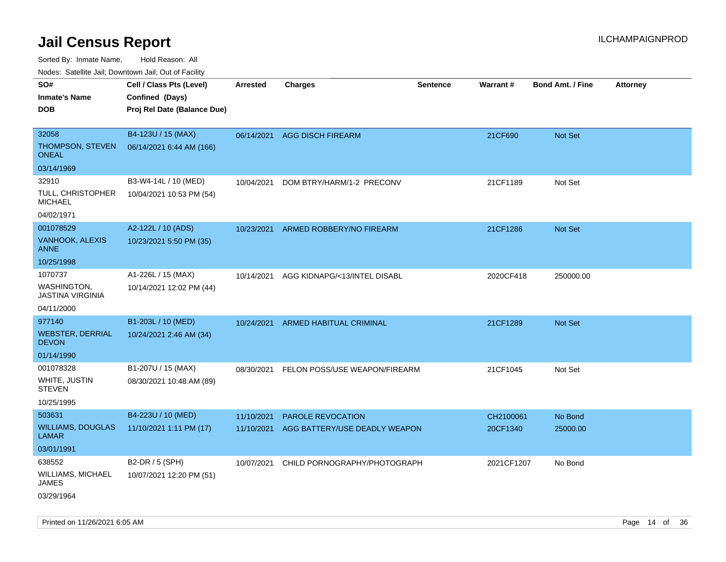Sorted By: Inmate Name, Hold Reason: All

Nodes: Satellite Jail; Downtown Jail; Out of Facility

| rouco. Calcinic Jan, Downtown Jan, Out of Facility |                             |                 |                               |                 |                 |                         |                 |
|----------------------------------------------------|-----------------------------|-----------------|-------------------------------|-----------------|-----------------|-------------------------|-----------------|
| SO#                                                | Cell / Class Pts (Level)    | <b>Arrested</b> | <b>Charges</b>                | <b>Sentence</b> | <b>Warrant#</b> | <b>Bond Amt. / Fine</b> | <b>Attorney</b> |
| <b>Inmate's Name</b>                               | Confined (Days)             |                 |                               |                 |                 |                         |                 |
| <b>DOB</b>                                         | Proj Rel Date (Balance Due) |                 |                               |                 |                 |                         |                 |
|                                                    |                             |                 |                               |                 |                 |                         |                 |
| 32058                                              | B4-123U / 15 (MAX)          | 06/14/2021      | <b>AGG DISCH FIREARM</b>      |                 | 21CF690         | <b>Not Set</b>          |                 |
| THOMPSON, STEVEN<br><b>ONEAL</b>                   | 06/14/2021 6:44 AM (166)    |                 |                               |                 |                 |                         |                 |
| 03/14/1969                                         |                             |                 |                               |                 |                 |                         |                 |
| 32910                                              | B3-W4-14L / 10 (MED)        | 10/04/2021      | DOM BTRY/HARM/1-2 PRECONV     |                 | 21CF1189        | Not Set                 |                 |
| TULL, CHRISTOPHER<br><b>MICHAEL</b>                | 10/04/2021 10:53 PM (54)    |                 |                               |                 |                 |                         |                 |
| 04/02/1971                                         |                             |                 |                               |                 |                 |                         |                 |
| 001078529                                          | A2-122L / 10 (ADS)          | 10/23/2021      | ARMED ROBBERY/NO FIREARM      |                 | 21CF1286        | <b>Not Set</b>          |                 |
| VANHOOK, ALEXIS<br><b>ANNE</b>                     | 10/23/2021 5:50 PM (35)     |                 |                               |                 |                 |                         |                 |
| 10/25/1998                                         |                             |                 |                               |                 |                 |                         |                 |
| 1070737                                            | A1-226L / 15 (MAX)          | 10/14/2021      | AGG KIDNAPG/<13/INTEL DISABL  |                 | 2020CF418       | 250000.00               |                 |
| <b>WASHINGTON,</b><br><b>JASTINA VIRGINIA</b>      | 10/14/2021 12:02 PM (44)    |                 |                               |                 |                 |                         |                 |
| 04/11/2000                                         |                             |                 |                               |                 |                 |                         |                 |
| 977140                                             | B1-203L / 10 (MED)          | 10/24/2021      | ARMED HABITUAL CRIMINAL       |                 | 21CF1289        | Not Set                 |                 |
| <b>WEBSTER, DERRIAL</b><br><b>DEVON</b>            | 10/24/2021 2:46 AM (34)     |                 |                               |                 |                 |                         |                 |
| 01/14/1990                                         |                             |                 |                               |                 |                 |                         |                 |
| 001078328                                          | B1-207U / 15 (MAX)          | 08/30/2021      | FELON POSS/USE WEAPON/FIREARM |                 | 21CF1045        | Not Set                 |                 |
| WHITE, JUSTIN<br><b>STEVEN</b>                     | 08/30/2021 10:48 AM (89)    |                 |                               |                 |                 |                         |                 |
| 10/25/1995                                         |                             |                 |                               |                 |                 |                         |                 |
| 503631                                             | B4-223U / 10 (MED)          | 11/10/2021      | PAROLE REVOCATION             |                 | CH2100061       | No Bond                 |                 |
| <b>WILLIAMS, DOUGLAS</b><br><b>LAMAR</b>           | 11/10/2021 1:11 PM (17)     | 11/10/2021      | AGG BATTERY/USE DEADLY WEAPON |                 | 20CF1340        | 25000.00                |                 |
| 03/01/1991                                         |                             |                 |                               |                 |                 |                         |                 |
| 638552                                             | B2-DR / 5 (SPH)             | 10/07/2021      | CHILD PORNOGRAPHY/PHOTOGRAPH  |                 | 2021CF1207      | No Bond                 |                 |
| WILLIAMS, MICHAEL<br><b>JAMES</b>                  | 10/07/2021 12:20 PM (51)    |                 |                               |                 |                 |                         |                 |
| 03/29/1964                                         |                             |                 |                               |                 |                 |                         |                 |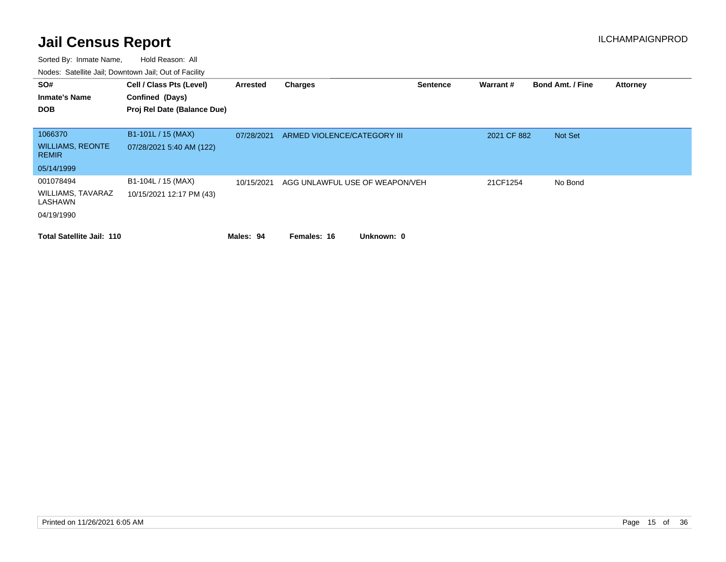| SO#<br><b>Inmate's Name</b><br><b>DOB</b> | Cell / Class Pts (Level)<br>Confined (Days)<br>Proj Rel Date (Balance Due) | Arrested   | <b>Charges</b>                 | <b>Sentence</b> | Warrant#    | <b>Bond Amt. / Fine</b> | <b>Attorney</b> |
|-------------------------------------------|----------------------------------------------------------------------------|------------|--------------------------------|-----------------|-------------|-------------------------|-----------------|
|                                           |                                                                            |            |                                |                 |             |                         |                 |
| 1066370                                   | B1-101L / 15 (MAX)                                                         | 07/28/2021 | ARMED VIOLENCE/CATEGORY III    |                 | 2021 CF 882 | Not Set                 |                 |
| <b>WILLIAMS, REONTE</b><br><b>REMIR</b>   | 07/28/2021 5:40 AM (122)                                                   |            |                                |                 |             |                         |                 |
| 05/14/1999                                |                                                                            |            |                                |                 |             |                         |                 |
| 001078494                                 | B1-104L / 15 (MAX)                                                         | 10/15/2021 | AGG UNLAWFUL USE OF WEAPON/VEH |                 | 21CF1254    | No Bond                 |                 |
| <b>WILLIAMS, TAVARAZ</b><br>LASHAWN       | 10/15/2021 12:17 PM (43)                                                   |            |                                |                 |             |                         |                 |
| 04/19/1990                                |                                                                            |            |                                |                 |             |                         |                 |
| <b>Total Satellite Jail: 110</b>          |                                                                            | Males: 94  | Unknown: 0<br>Females: 16      |                 |             |                         |                 |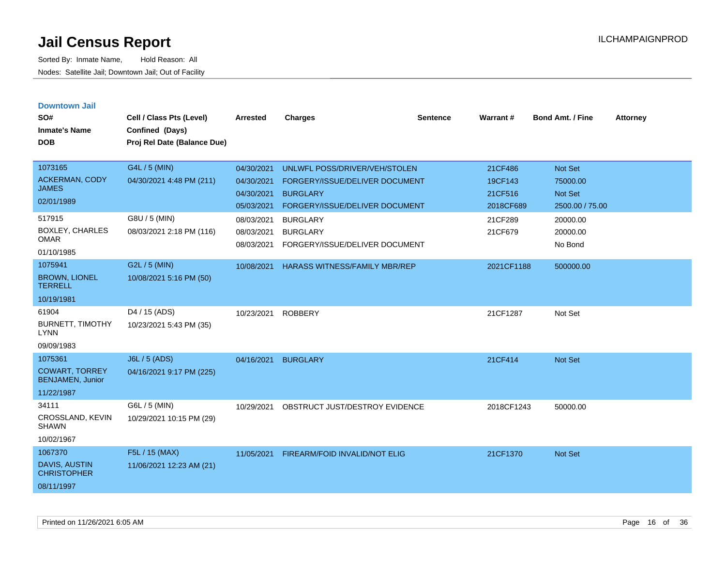| <b>Downtown Jail</b><br>SO#<br><b>Inmate's Name</b><br><b>DOB</b> | Cell / Class Pts (Level)<br>Confined (Days)<br>Proj Rel Date (Balance Due) | <b>Arrested</b>                        | <b>Charges</b>                                                       | <b>Sentence</b> | Warrant#             | Bond Amt. / Fine                | <b>Attorney</b> |
|-------------------------------------------------------------------|----------------------------------------------------------------------------|----------------------------------------|----------------------------------------------------------------------|-----------------|----------------------|---------------------------------|-----------------|
| 1073165                                                           | G4L / 5 (MIN)                                                              | 04/30/2021                             | UNLWFL POSS/DRIVER/VEH/STOLEN                                        |                 | 21CF486              | <b>Not Set</b>                  |                 |
| <b>ACKERMAN, CODY</b><br><b>JAMES</b>                             | 04/30/2021 4:48 PM (211)                                                   | 04/30/2021                             | FORGERY/ISSUE/DELIVER DOCUMENT                                       |                 | 19CF143              | 75000.00                        |                 |
| 02/01/1989                                                        |                                                                            | 04/30/2021<br>05/03/2021               | <b>BURGLARY</b><br>FORGERY/ISSUE/DELIVER DOCUMENT                    |                 | 21CF516<br>2018CF689 | Not Set<br>2500.00 / 75.00      |                 |
| 517915<br>BOXLEY, CHARLES<br><b>OMAR</b><br>01/10/1985            | G8U / 5 (MIN)<br>08/03/2021 2:18 PM (116)                                  | 08/03/2021<br>08/03/2021<br>08/03/2021 | <b>BURGLARY</b><br><b>BURGLARY</b><br>FORGERY/ISSUE/DELIVER DOCUMENT |                 | 21CF289<br>21CF679   | 20000.00<br>20000.00<br>No Bond |                 |
| 1075941                                                           | G2L / 5 (MIN)                                                              | 10/08/2021                             | <b>HARASS WITNESS/FAMILY MBR/REP</b>                                 |                 | 2021CF1188           | 500000.00                       |                 |
| <b>BROWN, LIONEL</b><br><b>TERRELL</b>                            | 10/08/2021 5:16 PM (50)                                                    |                                        |                                                                      |                 |                      |                                 |                 |
| 10/19/1981                                                        |                                                                            |                                        |                                                                      |                 |                      |                                 |                 |
| 61904<br><b>BURNETT, TIMOTHY</b><br><b>LYNN</b>                   | D <sub>4</sub> / 15 (ADS)<br>10/23/2021 5:43 PM (35)                       | 10/23/2021                             | <b>ROBBERY</b>                                                       |                 | 21CF1287             | Not Set                         |                 |
| 09/09/1983                                                        |                                                                            |                                        |                                                                      |                 |                      |                                 |                 |
| 1075361<br><b>COWART, TORREY</b><br><b>BENJAMEN, Junior</b>       | J6L / 5 (ADS)<br>04/16/2021 9:17 PM (225)                                  | 04/16/2021                             | <b>BURGLARY</b>                                                      |                 | 21CF414              | <b>Not Set</b>                  |                 |
| 11/22/1987                                                        |                                                                            |                                        |                                                                      |                 |                      |                                 |                 |
| 34111<br>CROSSLAND, KEVIN<br><b>SHAWN</b><br>10/02/1967           | G6L / 5 (MIN)<br>10/29/2021 10:15 PM (29)                                  | 10/29/2021                             | OBSTRUCT JUST/DESTROY EVIDENCE                                       |                 | 2018CF1243           | 50000.00                        |                 |
| 1067370                                                           | F5L / 15 (MAX)                                                             | 11/05/2021                             | FIREARM/FOID INVALID/NOT ELIG                                        |                 | 21CF1370             | <b>Not Set</b>                  |                 |
| <b>DAVIS, AUSTIN</b><br><b>CHRISTOPHER</b><br>08/11/1997          | 11/06/2021 12:23 AM (21)                                                   |                                        |                                                                      |                 |                      |                                 |                 |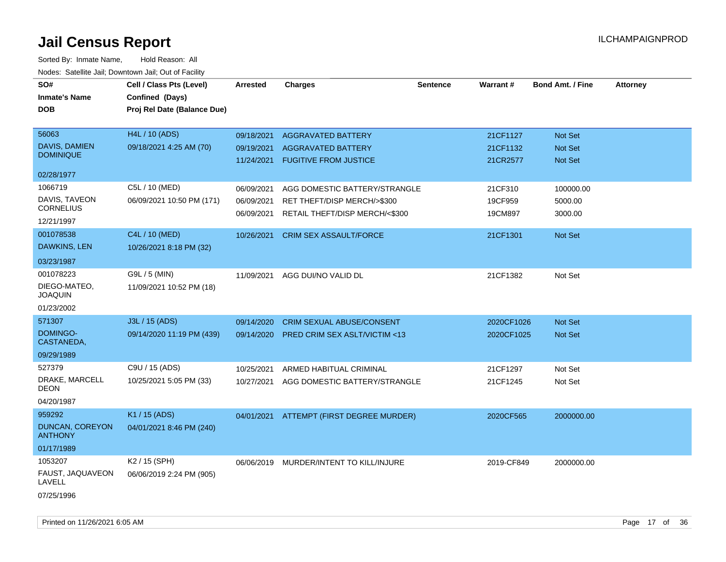| SO#<br><b>Inmate's Name</b><br><b>DOB</b>                  | Cell / Class Pts (Level)<br>Confined (Days)<br>Proj Rel Date (Balance Due) | Arrested                               | <b>Charges</b>                                                                                 | Sentence | Warrant#                         | <b>Bond Amt. / Fine</b>              | <b>Attorney</b> |
|------------------------------------------------------------|----------------------------------------------------------------------------|----------------------------------------|------------------------------------------------------------------------------------------------|----------|----------------------------------|--------------------------------------|-----------------|
| 56063<br>DAVIS, DAMIEN<br><b>DOMINIQUE</b>                 | H4L / 10 (ADS)<br>09/18/2021 4:25 AM (70)                                  | 09/18/2021<br>09/19/2021<br>11/24/2021 | <b>AGGRAVATED BATTERY</b><br><b>AGGRAVATED BATTERY</b><br><b>FUGITIVE FROM JUSTICE</b>         |          | 21CF1127<br>21CF1132<br>21CR2577 | Not Set<br>Not Set<br><b>Not Set</b> |                 |
| 02/28/1977                                                 |                                                                            |                                        |                                                                                                |          |                                  |                                      |                 |
| 1066719<br>DAVIS, TAVEON<br><b>CORNELIUS</b><br>12/21/1997 | C5L / 10 (MED)<br>06/09/2021 10:50 PM (171)                                | 06/09/2021<br>06/09/2021<br>06/09/2021 | AGG DOMESTIC BATTERY/STRANGLE<br>RET THEFT/DISP MERCH/>\$300<br>RETAIL THEFT/DISP MERCH/<\$300 |          | 21CF310<br>19CF959<br>19CM897    | 100000.00<br>5000.00<br>3000.00      |                 |
| 001078538<br>DAWKINS, LEN<br>03/23/1987                    | C4L / 10 (MED)<br>10/26/2021 8:18 PM (32)                                  | 10/26/2021                             | <b>CRIM SEX ASSAULT/FORCE</b>                                                                  |          | 21CF1301                         | <b>Not Set</b>                       |                 |
| 001078223<br>DIEGO-MATEO,<br>JOAQUIN<br>01/23/2002         | G9L / 5 (MIN)<br>11/09/2021 10:52 PM (18)                                  | 11/09/2021                             | AGG DUI/NO VALID DL                                                                            |          | 21CF1382                         | Not Set                              |                 |
| 571307                                                     | J3L / 15 (ADS)                                                             | 09/14/2020                             | <b>CRIM SEXUAL ABUSE/CONSENT</b>                                                               |          | 2020CF1026                       | Not Set                              |                 |
| DOMINGO-<br>CASTANEDA,                                     | 09/14/2020 11:19 PM (439)                                                  | 09/14/2020                             | PRED CRIM SEX ASLT/VICTIM <13                                                                  |          | 2020CF1025                       | Not Set                              |                 |
| 09/29/1989                                                 |                                                                            |                                        |                                                                                                |          |                                  |                                      |                 |
| 527379<br>DRAKE, MARCELL<br>DEON<br>04/20/1987             | C9U / 15 (ADS)<br>10/25/2021 5:05 PM (33)                                  | 10/25/2021<br>10/27/2021               | ARMED HABITUAL CRIMINAL<br>AGG DOMESTIC BATTERY/STRANGLE                                       |          | 21CF1297<br>21CF1245             | Not Set<br>Not Set                   |                 |
| 959292<br>DUNCAN, COREYON<br><b>ANTHONY</b><br>01/17/1989  | K1 / 15 (ADS)<br>04/01/2021 8:46 PM (240)                                  | 04/01/2021                             | ATTEMPT (FIRST DEGREE MURDER)                                                                  |          | 2020CF565                        | 2000000.00                           |                 |
| 1053207<br>FAUST, JAQUAVEON<br>LAVELL<br>07/25/1996        | K2 / 15 (SPH)<br>06/06/2019 2:24 PM (905)                                  | 06/06/2019                             | MURDER/INTENT TO KILL/INJURE                                                                   |          | 2019-CF849                       | 2000000.00                           |                 |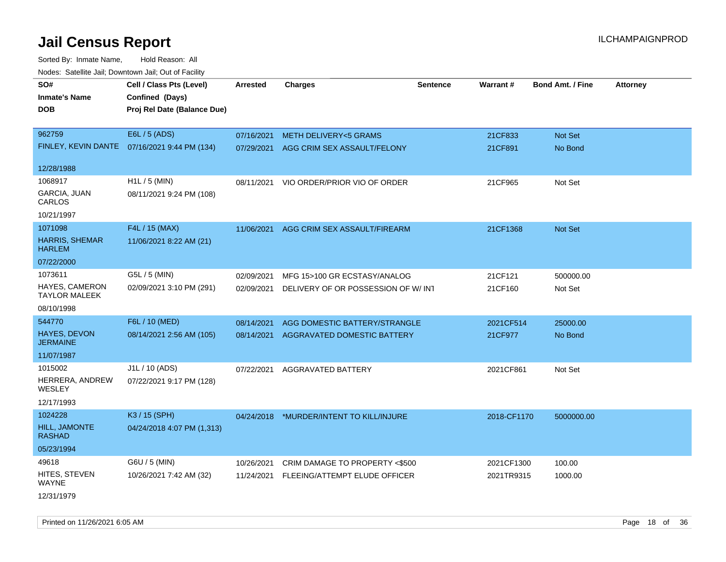Sorted By: Inmate Name, Hold Reason: All Nodes: Satellite Jail; Downtown Jail; Out of Facility

| <u>Rodos.</u> Odiolino dali, Downtown dali, Odi of Fabilit |                                              |                 |                                          |                 |             |                         |                 |
|------------------------------------------------------------|----------------------------------------------|-----------------|------------------------------------------|-----------------|-------------|-------------------------|-----------------|
| SO#                                                        | Cell / Class Pts (Level)                     | <b>Arrested</b> | <b>Charges</b>                           | <b>Sentence</b> | Warrant#    | <b>Bond Amt. / Fine</b> | <b>Attorney</b> |
| <b>Inmate's Name</b>                                       | Confined (Days)                              |                 |                                          |                 |             |                         |                 |
| <b>DOB</b>                                                 | Proj Rel Date (Balance Due)                  |                 |                                          |                 |             |                         |                 |
|                                                            |                                              |                 |                                          |                 |             |                         |                 |
| 962759                                                     | E6L / 5 (ADS)                                | 07/16/2021      | <b>METH DELIVERY&lt;5 GRAMS</b>          |                 | 21CF833     | Not Set                 |                 |
|                                                            | FINLEY, KEVIN DANTE 07/16/2021 9:44 PM (134) | 07/29/2021      | AGG CRIM SEX ASSAULT/FELONY              |                 | 21CF891     | No Bond                 |                 |
|                                                            |                                              |                 |                                          |                 |             |                         |                 |
| 12/28/1988                                                 |                                              |                 |                                          |                 |             |                         |                 |
| 1068917                                                    | $H1L / 5$ (MIN)                              | 08/11/2021      | VIO ORDER/PRIOR VIO OF ORDER             |                 | 21CF965     | Not Set                 |                 |
| GARCIA, JUAN<br>CARLOS                                     | 08/11/2021 9:24 PM (108)                     |                 |                                          |                 |             |                         |                 |
| 10/21/1997                                                 |                                              |                 |                                          |                 |             |                         |                 |
| 1071098                                                    | F4L / 15 (MAX)                               | 11/06/2021      | AGG CRIM SEX ASSAULT/FIREARM             |                 | 21CF1368    | Not Set                 |                 |
| <b>HARRIS, SHEMAR</b><br><b>HARLEM</b>                     | 11/06/2021 8:22 AM (21)                      |                 |                                          |                 |             |                         |                 |
| 07/22/2000                                                 |                                              |                 |                                          |                 |             |                         |                 |
| 1073611                                                    | G5L / 5 (MIN)                                | 02/09/2021      | MFG 15>100 GR ECSTASY/ANALOG             |                 | 21CF121     | 500000.00               |                 |
| <b>HAYES, CAMERON</b><br><b>TAYLOR MALEEK</b>              | 02/09/2021 3:10 PM (291)                     | 02/09/2021      | DELIVERY OF OR POSSESSION OF W/ INT      |                 | 21CF160     | Not Set                 |                 |
| 08/10/1998                                                 |                                              |                 |                                          |                 |             |                         |                 |
| 544770                                                     | F6L / 10 (MED)                               | 08/14/2021      | AGG DOMESTIC BATTERY/STRANGLE            |                 | 2021CF514   | 25000.00                |                 |
| <b>HAYES, DEVON</b><br><b>JERMAINE</b>                     | 08/14/2021 2:56 AM (105)                     | 08/14/2021      | <b>AGGRAVATED DOMESTIC BATTERY</b>       |                 | 21CF977     | No Bond                 |                 |
| 11/07/1987                                                 |                                              |                 |                                          |                 |             |                         |                 |
| 1015002                                                    | J1L / 10 (ADS)                               | 07/22/2021      | AGGRAVATED BATTERY                       |                 | 2021CF861   | Not Set                 |                 |
| HERRERA, ANDREW<br>WESLEY                                  | 07/22/2021 9:17 PM (128)                     |                 |                                          |                 |             |                         |                 |
| 12/17/1993                                                 |                                              |                 |                                          |                 |             |                         |                 |
| 1024228                                                    | K3 / 15 (SPH)                                |                 | 04/24/2018 *MURDER/INTENT TO KILL/INJURE |                 | 2018-CF1170 | 5000000.00              |                 |
| HILL, JAMONTE<br><b>RASHAD</b>                             | 04/24/2018 4:07 PM (1,313)                   |                 |                                          |                 |             |                         |                 |
| 05/23/1994                                                 |                                              |                 |                                          |                 |             |                         |                 |
| 49618                                                      | G6U / 5 (MIN)                                | 10/26/2021      | CRIM DAMAGE TO PROPERTY <\$500           |                 | 2021CF1300  | 100.00                  |                 |
| HITES, STEVEN<br>WAYNE                                     | 10/26/2021 7:42 AM (32)                      | 11/24/2021      | FLEEING/ATTEMPT ELUDE OFFICER            |                 | 2021TR9315  | 1000.00                 |                 |
| 12/31/1979                                                 |                                              |                 |                                          |                 |             |                         |                 |

Printed on 11/26/2021 6:05 AM **Page 18** of 36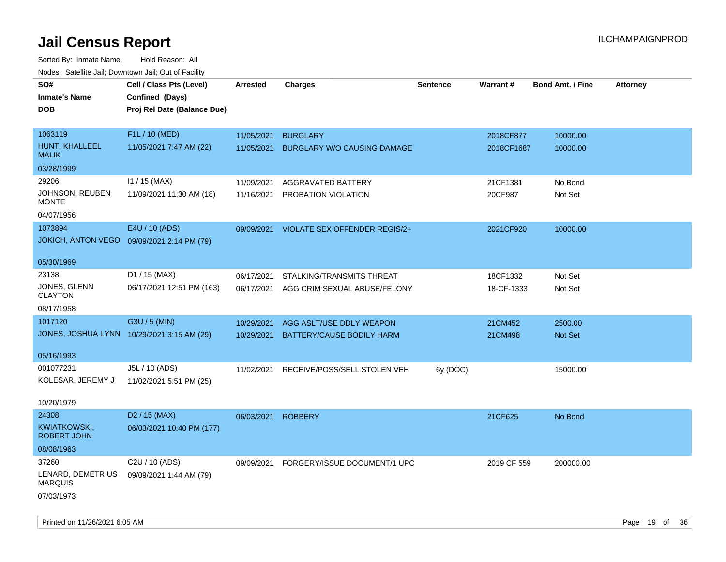Sorted By: Inmate Name, Hold Reason: All Nodes: Satellite Jail; Downtown Jail; Out of Facility

| rouco. Calcinic Jan, Downtown Jan, Out of Facility |                                            |                 |                               |                 |             |                         |                 |
|----------------------------------------------------|--------------------------------------------|-----------------|-------------------------------|-----------------|-------------|-------------------------|-----------------|
| SO#                                                | Cell / Class Pts (Level)                   | <b>Arrested</b> | <b>Charges</b>                | <b>Sentence</b> | Warrant#    | <b>Bond Amt. / Fine</b> | <b>Attorney</b> |
| <b>Inmate's Name</b>                               | Confined (Days)                            |                 |                               |                 |             |                         |                 |
| <b>DOB</b>                                         | Proj Rel Date (Balance Due)                |                 |                               |                 |             |                         |                 |
|                                                    |                                            |                 |                               |                 |             |                         |                 |
| 1063119                                            | F1L / 10 (MED)                             | 11/05/2021      | <b>BURGLARY</b>               |                 | 2018CF877   | 10000.00                |                 |
| HUNT, KHALLEEL<br><b>MALIK</b>                     | 11/05/2021 7:47 AM (22)                    | 11/05/2021      | BURGLARY W/O CAUSING DAMAGE   |                 | 2018CF1687  | 10000.00                |                 |
| 03/28/1999                                         |                                            |                 |                               |                 |             |                         |                 |
| 29206                                              | $11 / 15$ (MAX)                            | 11/09/2021      | AGGRAVATED BATTERY            |                 | 21CF1381    | No Bond                 |                 |
| JOHNSON, REUBEN<br><b>MONTE</b>                    | 11/09/2021 11:30 AM (18)                   | 11/16/2021      | PROBATION VIOLATION           |                 | 20CF987     | Not Set                 |                 |
| 04/07/1956                                         |                                            |                 |                               |                 |             |                         |                 |
| 1073894                                            | E4U / 10 (ADS)                             | 09/09/2021      | VIOLATE SEX OFFENDER REGIS/2+ |                 | 2021CF920   | 10000.00                |                 |
| <b>JOKICH, ANTON VEGO</b>                          | 09/09/2021 2:14 PM (79)                    |                 |                               |                 |             |                         |                 |
|                                                    |                                            |                 |                               |                 |             |                         |                 |
| 05/30/1969                                         |                                            |                 |                               |                 |             |                         |                 |
| 23138                                              | D1 / 15 (MAX)                              | 06/17/2021      | STALKING/TRANSMITS THREAT     |                 | 18CF1332    | Not Set                 |                 |
| JONES, GLENN<br><b>CLAYTON</b>                     | 06/17/2021 12:51 PM (163)                  | 06/17/2021      | AGG CRIM SEXUAL ABUSE/FELONY  |                 | 18-CF-1333  | Not Set                 |                 |
| 08/17/1958                                         |                                            |                 |                               |                 |             |                         |                 |
|                                                    |                                            |                 |                               |                 |             |                         |                 |
| 1017120                                            | G3U / 5 (MIN)                              | 10/29/2021      | AGG ASLT/USE DDLY WEAPON      |                 | 21CM452     | 2500.00                 |                 |
|                                                    | JONES, JOSHUA LYNN 10/29/2021 3:15 AM (29) | 10/29/2021      | BATTERY/CAUSE BODILY HARM     |                 | 21CM498     | <b>Not Set</b>          |                 |
| 05/16/1993                                         |                                            |                 |                               |                 |             |                         |                 |
| 001077231                                          | J5L / 10 (ADS)                             | 11/02/2021      | RECEIVE/POSS/SELL STOLEN VEH  | 6y (DOC)        |             | 15000.00                |                 |
| KOLESAR, JEREMY J                                  | 11/02/2021 5:51 PM (25)                    |                 |                               |                 |             |                         |                 |
|                                                    |                                            |                 |                               |                 |             |                         |                 |
| 10/20/1979                                         |                                            |                 |                               |                 |             |                         |                 |
| 24308                                              | D <sub>2</sub> / 15 (MAX)                  | 06/03/2021      | <b>ROBBERY</b>                |                 | 21CF625     | No Bond                 |                 |
| <b>KWIATKOWSKI,</b><br><b>ROBERT JOHN</b>          | 06/03/2021 10:40 PM (177)                  |                 |                               |                 |             |                         |                 |
| 08/08/1963                                         |                                            |                 |                               |                 |             |                         |                 |
| 37260                                              | C2U / 10 (ADS)                             | 09/09/2021      | FORGERY/ISSUE DOCUMENT/1 UPC  |                 | 2019 CF 559 | 200000.00               |                 |
| LENARD, DEMETRIUS<br><b>MARQUIS</b>                | 09/09/2021 1:44 AM (79)                    |                 |                               |                 |             |                         |                 |
| 07/03/1973                                         |                                            |                 |                               |                 |             |                         |                 |

Printed on 11/26/2021 6:05 AM **Page 19 of 36**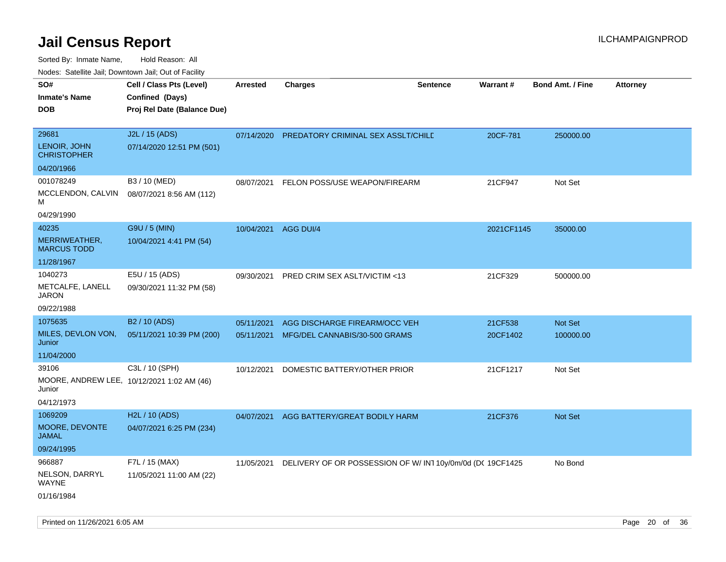Sorted By: Inmate Name, Hold Reason: All

|  | Nodes: Satellite Jail; Downtown Jail; Out of Facility |  |  |  |
|--|-------------------------------------------------------|--|--|--|
|--|-------------------------------------------------------|--|--|--|

| SO#<br><b>Inmate's Name</b><br><b>DOB</b> | Cell / Class Pts (Level)<br>Confined (Days)<br>Proj Rel Date (Balance Due) | <b>Arrested</b> | <b>Charges</b>                                                        | <b>Sentence</b> | <b>Warrant#</b> | <b>Bond Amt. / Fine</b> | <b>Attorney</b> |
|-------------------------------------------|----------------------------------------------------------------------------|-----------------|-----------------------------------------------------------------------|-----------------|-----------------|-------------------------|-----------------|
| 29681                                     | J2L / 15 (ADS)                                                             | 07/14/2020      | PREDATORY CRIMINAL SEX ASSLT/CHILE                                    |                 | 20CF-781        | 250000.00               |                 |
| LENOIR, JOHN<br><b>CHRISTOPHER</b>        | 07/14/2020 12:51 PM (501)                                                  |                 |                                                                       |                 |                 |                         |                 |
| 04/20/1966                                |                                                                            |                 |                                                                       |                 |                 |                         |                 |
| 001078249                                 | B3 / 10 (MED)                                                              | 08/07/2021      | FELON POSS/USE WEAPON/FIREARM                                         |                 | 21CF947         | Not Set                 |                 |
| MCCLENDON, CALVIN<br>м                    | 08/07/2021 8:56 AM (112)                                                   |                 |                                                                       |                 |                 |                         |                 |
| 04/29/1990                                |                                                                            |                 |                                                                       |                 |                 |                         |                 |
| 40235                                     | G9U / 5 (MIN)                                                              |                 | 10/04/2021 AGG DUI/4                                                  |                 | 2021CF1145      | 35000.00                |                 |
| MERRIWEATHER,<br><b>MARCUS TODD</b>       | 10/04/2021 4:41 PM (54)                                                    |                 |                                                                       |                 |                 |                         |                 |
| 11/28/1967                                |                                                                            |                 |                                                                       |                 |                 |                         |                 |
| 1040273                                   | E5U / 15 (ADS)                                                             | 09/30/2021      | PRED CRIM SEX ASLT/VICTIM <13                                         |                 | 21CF329         | 500000.00               |                 |
| METCALFE, LANELL<br><b>JARON</b>          | 09/30/2021 11:32 PM (58)                                                   |                 |                                                                       |                 |                 |                         |                 |
| 09/22/1988                                |                                                                            |                 |                                                                       |                 |                 |                         |                 |
| 1075635                                   | B <sub>2</sub> / 10 (ADS)                                                  | 05/11/2021      | AGG DISCHARGE FIREARM/OCC VEH                                         |                 | 21CF538         | Not Set                 |                 |
| MILES, DEVLON VON,<br>Junior              | 05/11/2021 10:39 PM (200)                                                  | 05/11/2021      | MFG/DEL CANNABIS/30-500 GRAMS                                         |                 | 20CF1402        | 100000.00               |                 |
| 11/04/2000                                |                                                                            |                 |                                                                       |                 |                 |                         |                 |
| 39106                                     | C3L / 10 (SPH)                                                             | 10/12/2021      | DOMESTIC BATTERY/OTHER PRIOR                                          |                 | 21CF1217        | Not Set                 |                 |
| Junior                                    | MOORE, ANDREW LEE, 10/12/2021 1:02 AM (46)                                 |                 |                                                                       |                 |                 |                         |                 |
| 04/12/1973                                |                                                                            |                 |                                                                       |                 |                 |                         |                 |
| 1069209                                   | H2L / 10 (ADS)                                                             |                 | 04/07/2021 AGG BATTERY/GREAT BODILY HARM                              |                 | 21CF376         | Not Set                 |                 |
| MOORE, DEVONTE<br><b>JAMAL</b>            | 04/07/2021 6:25 PM (234)                                                   |                 |                                                                       |                 |                 |                         |                 |
| 09/24/1995                                |                                                                            |                 |                                                                       |                 |                 |                         |                 |
| 966887                                    | F7L / 15 (MAX)                                                             |                 | 11/05/2021 DELIVERY OF OR POSSESSION OF W/ IN1 10y/0m/0d (DC 19CF1425 |                 |                 | No Bond                 |                 |
| NELSON, DARRYL<br><b>WAYNE</b>            | 11/05/2021 11:00 AM (22)                                                   |                 |                                                                       |                 |                 |                         |                 |
| 01/16/1984                                |                                                                            |                 |                                                                       |                 |                 |                         |                 |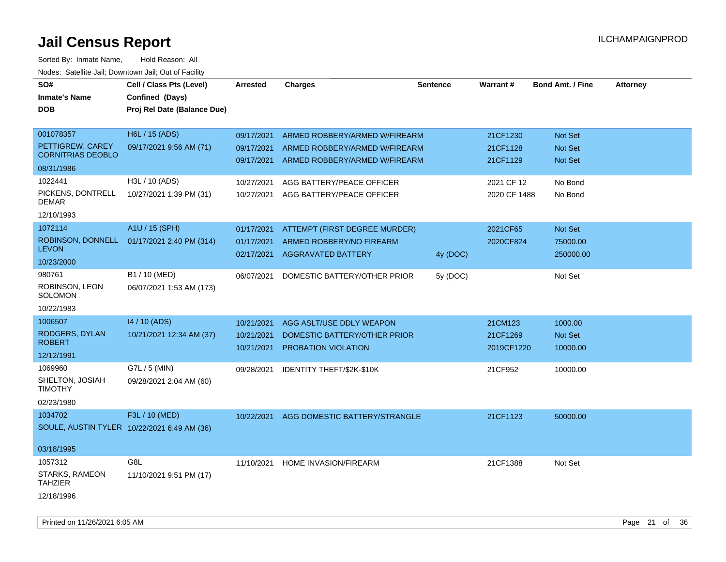| SO#                                         | Cell / Class Pts (Level)    | <b>Arrested</b> | <b>Charges</b>                | <b>Sentence</b> | <b>Warrant#</b> | <b>Bond Amt. / Fine</b> | <b>Attorney</b> |
|---------------------------------------------|-----------------------------|-----------------|-------------------------------|-----------------|-----------------|-------------------------|-----------------|
| <b>Inmate's Name</b>                        | Confined (Days)             |                 |                               |                 |                 |                         |                 |
| DOB                                         | Proj Rel Date (Balance Due) |                 |                               |                 |                 |                         |                 |
|                                             |                             |                 |                               |                 |                 |                         |                 |
| 001078357                                   | H6L / 15 (ADS)              | 09/17/2021      | ARMED ROBBERY/ARMED W/FIREARM |                 | 21CF1230        | Not Set                 |                 |
| PETTIGREW, CAREY                            | 09/17/2021 9:56 AM (71)     | 09/17/2021      | ARMED ROBBERY/ARMED W/FIREARM |                 | 21CF1128        | <b>Not Set</b>          |                 |
| <b>CORNITRIAS DEOBLO</b>                    |                             | 09/17/2021      | ARMED ROBBERY/ARMED W/FIREARM |                 | 21CF1129        | Not Set                 |                 |
| 08/31/1986                                  |                             |                 |                               |                 |                 |                         |                 |
| 1022441                                     | H3L / 10 (ADS)              | 10/27/2021      | AGG BATTERY/PEACE OFFICER     |                 | 2021 CF 12      | No Bond                 |                 |
| PICKENS, DONTRELL<br>DEMAR                  | 10/27/2021 1:39 PM (31)     | 10/27/2021      | AGG BATTERY/PEACE OFFICER     |                 | 2020 CF 1488    | No Bond                 |                 |
| 12/10/1993                                  |                             |                 |                               |                 |                 |                         |                 |
| 1072114                                     | A1U / 15 (SPH)              | 01/17/2021      | ATTEMPT (FIRST DEGREE MURDER) |                 | 2021CF65        | Not Set                 |                 |
| ROBINSON, DONNELL                           | 01/17/2021 2:40 PM (314)    | 01/17/2021      | ARMED ROBBERY/NO FIREARM      |                 | 2020CF824       | 75000.00                |                 |
| <b>LEVON</b>                                |                             | 02/17/2021      | <b>AGGRAVATED BATTERY</b>     | 4y (DOC)        |                 | 250000.00               |                 |
| 10/23/2000                                  |                             |                 |                               |                 |                 |                         |                 |
| 980761                                      | B1 / 10 (MED)               | 06/07/2021      | DOMESTIC BATTERY/OTHER PRIOR  | 5y (DOC)        |                 | Not Set                 |                 |
| ROBINSON, LEON<br>SOLOMON                   | 06/07/2021 1:53 AM (173)    |                 |                               |                 |                 |                         |                 |
| 10/22/1983                                  |                             |                 |                               |                 |                 |                         |                 |
| 1006507                                     | 14 / 10 (ADS)               |                 |                               |                 |                 |                         |                 |
| RODGERS, DYLAN                              |                             | 10/21/2021      | AGG ASLT/USE DDLY WEAPON      |                 | 21CM123         | 1000.00                 |                 |
| <b>ROBERT</b>                               | 10/21/2021 12:34 AM (37)    | 10/21/2021      | DOMESTIC BATTERY/OTHER PRIOR  |                 | 21CF1269        | Not Set                 |                 |
| 12/12/1991                                  |                             | 10/21/2021      | <b>PROBATION VIOLATION</b>    |                 | 2019CF1220      | 10000.00                |                 |
| 1069960                                     | G7L / 5 (MIN)               | 09/28/2021      | IDENTITY THEFT/\$2K-\$10K     |                 | 21CF952         | 10000.00                |                 |
| SHELTON, JOSIAH<br><b>TIMOTHY</b>           | 09/28/2021 2:04 AM (60)     |                 |                               |                 |                 |                         |                 |
| 02/23/1980                                  |                             |                 |                               |                 |                 |                         |                 |
| 1034702                                     | F3L / 10 (MED)              | 10/22/2021      | AGG DOMESTIC BATTERY/STRANGLE |                 | 21CF1123        | 50000.00                |                 |
| SOULE, AUSTIN TYLER 10/22/2021 6:49 AM (36) |                             |                 |                               |                 |                 |                         |                 |
|                                             |                             |                 |                               |                 |                 |                         |                 |
| 03/18/1995                                  |                             |                 |                               |                 |                 |                         |                 |
| 1057312                                     | G8L                         | 11/10/2021      | <b>HOME INVASION/FIREARM</b>  |                 | 21CF1388        | Not Set                 |                 |
| STARKS, RAMEON<br><b>TAHZIER</b>            | 11/10/2021 9:51 PM (17)     |                 |                               |                 |                 |                         |                 |
| 12/18/1996                                  |                             |                 |                               |                 |                 |                         |                 |
|                                             |                             |                 |                               |                 |                 |                         |                 |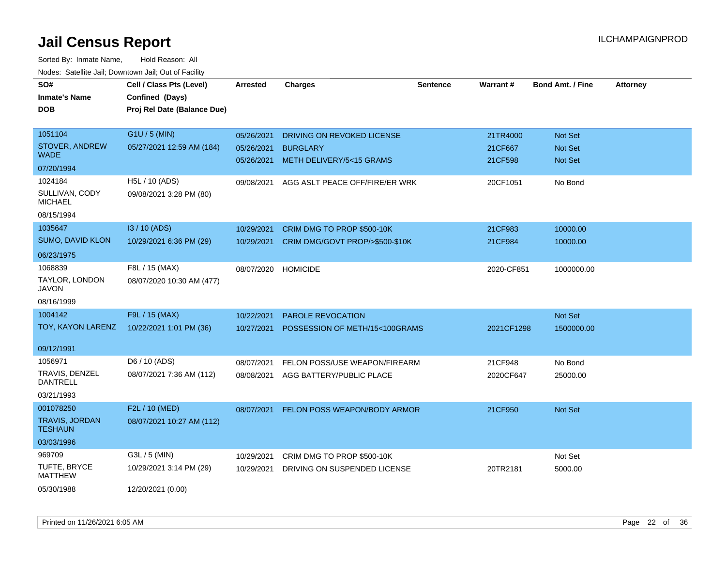| SO#                                     | Cell / Class Pts (Level)    | Arrested   | <b>Charges</b>                      | <b>Sentence</b> | Warrant#   | <b>Bond Amt. / Fine</b> | <b>Attorney</b> |
|-----------------------------------------|-----------------------------|------------|-------------------------------------|-----------------|------------|-------------------------|-----------------|
| <b>Inmate's Name</b>                    | Confined (Days)             |            |                                     |                 |            |                         |                 |
| <b>DOB</b>                              | Proj Rel Date (Balance Due) |            |                                     |                 |            |                         |                 |
| 1051104                                 | G1U / 5 (MIN)               | 05/26/2021 | DRIVING ON REVOKED LICENSE          |                 | 21TR4000   | Not Set                 |                 |
| STOVER, ANDREW                          | 05/27/2021 12:59 AM (184)   | 05/26/2021 | <b>BURGLARY</b>                     |                 | 21CF667    | <b>Not Set</b>          |                 |
| <b>WADE</b>                             |                             |            | 05/26/2021 METH DELIVERY/5<15 GRAMS |                 | 21CF598    | Not Set                 |                 |
| 07/20/1994                              |                             |            |                                     |                 |            |                         |                 |
| 1024184                                 | H5L / 10 (ADS)              | 09/08/2021 | AGG ASLT PEACE OFF/FIRE/ER WRK      |                 | 20CF1051   | No Bond                 |                 |
| SULLIVAN, CODY<br><b>MICHAEL</b>        | 09/08/2021 3:28 PM (80)     |            |                                     |                 |            |                         |                 |
| 08/15/1994                              |                             |            |                                     |                 |            |                         |                 |
| 1035647                                 | I3 / 10 (ADS)               | 10/29/2021 | CRIM DMG TO PROP \$500-10K          |                 | 21CF983    | 10000.00                |                 |
| SUMO, DAVID KLON                        | 10/29/2021 6:36 PM (29)     | 10/29/2021 | CRIM DMG/GOVT PROP/>\$500-\$10K     |                 | 21CF984    | 10000.00                |                 |
| 06/23/1975                              |                             |            |                                     |                 |            |                         |                 |
| 1068839                                 | F8L / 15 (MAX)              | 08/07/2020 | <b>HOMICIDE</b>                     |                 | 2020-CF851 | 1000000.00              |                 |
| TAYLOR, LONDON<br><b>JAVON</b>          | 08/07/2020 10:30 AM (477)   |            |                                     |                 |            |                         |                 |
| 08/16/1999                              |                             |            |                                     |                 |            |                         |                 |
| 1004142                                 | F9L / 15 (MAX)              | 10/22/2021 | PAROLE REVOCATION                   |                 |            | Not Set                 |                 |
| TOY, KAYON LARENZ                       | 10/22/2021 1:01 PM (36)     | 10/27/2021 | POSSESSION OF METH/15<100GRAMS      |                 | 2021CF1298 | 1500000.00              |                 |
|                                         |                             |            |                                     |                 |            |                         |                 |
| 09/12/1991                              |                             |            |                                     |                 |            |                         |                 |
| 1056971                                 | D6 / 10 (ADS)               | 08/07/2021 | FELON POSS/USE WEAPON/FIREARM       |                 | 21CF948    | No Bond                 |                 |
| TRAVIS, DENZEL<br><b>DANTRELL</b>       | 08/07/2021 7:36 AM (112)    | 08/08/2021 | AGG BATTERY/PUBLIC PLACE            |                 | 2020CF647  | 25000.00                |                 |
| 03/21/1993                              |                             |            |                                     |                 |            |                         |                 |
| 001078250                               | F2L / 10 (MED)              | 08/07/2021 | <b>FELON POSS WEAPON/BODY ARMOR</b> |                 | 21CF950    | Not Set                 |                 |
| <b>TRAVIS, JORDAN</b><br><b>TESHAUN</b> | 08/07/2021 10:27 AM (112)   |            |                                     |                 |            |                         |                 |
| 03/03/1996                              |                             |            |                                     |                 |            |                         |                 |
| 969709                                  | G3L / 5 (MIN)               | 10/29/2021 | CRIM DMG TO PROP \$500-10K          |                 |            | Not Set                 |                 |
| TUFTE, BRYCE<br><b>MATTHEW</b>          | 10/29/2021 3:14 PM (29)     | 10/29/2021 | DRIVING ON SUSPENDED LICENSE        |                 | 20TR2181   | 5000.00                 |                 |
| 05/30/1988                              | 12/20/2021 (0.00)           |            |                                     |                 |            |                         |                 |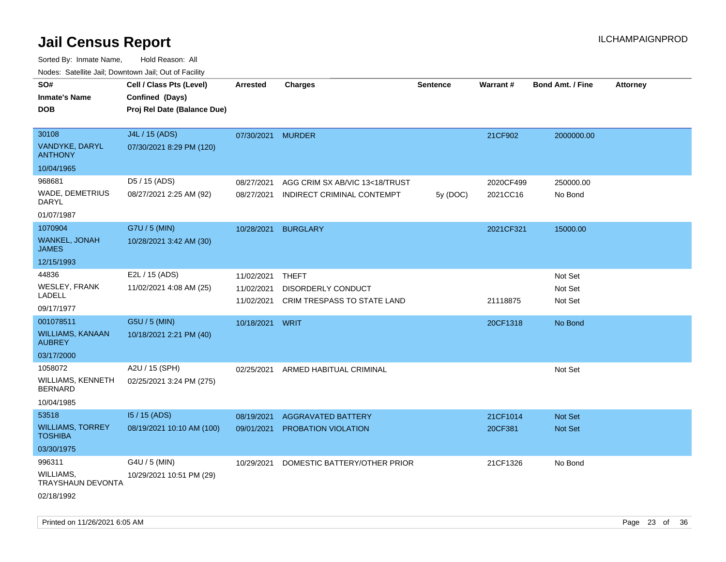| Nudes. Satellite Jali, Downtown Jali, Out of Facility |                             |                   |                                |                 |                 |                         |                 |
|-------------------------------------------------------|-----------------------------|-------------------|--------------------------------|-----------------|-----------------|-------------------------|-----------------|
| SO#                                                   | Cell / Class Pts (Level)    | Arrested          | <b>Charges</b>                 | <b>Sentence</b> | <b>Warrant#</b> | <b>Bond Amt. / Fine</b> | <b>Attorney</b> |
| <b>Inmate's Name</b>                                  | Confined (Days)             |                   |                                |                 |                 |                         |                 |
| <b>DOB</b>                                            | Proj Rel Date (Balance Due) |                   |                                |                 |                 |                         |                 |
|                                                       |                             |                   |                                |                 |                 |                         |                 |
| 30108                                                 | J4L / 15 (ADS)              | 07/30/2021 MURDER |                                |                 | 21CF902         | 2000000.00              |                 |
| <b>VANDYKE, DARYL</b><br><b>ANTHONY</b>               | 07/30/2021 8:29 PM (120)    |                   |                                |                 |                 |                         |                 |
| 10/04/1965                                            |                             |                   |                                |                 |                 |                         |                 |
| 968681                                                | D5 / 15 (ADS)               | 08/27/2021        | AGG CRIM SX AB/VIC 13<18/TRUST |                 | 2020CF499       | 250000.00               |                 |
| <b>WADE, DEMETRIUS</b><br>DARYL                       | 08/27/2021 2:25 AM (92)     | 08/27/2021        | INDIRECT CRIMINAL CONTEMPT     | 5y (DOC)        | 2021CC16        | No Bond                 |                 |
| 01/07/1987                                            |                             |                   |                                |                 |                 |                         |                 |
| 1070904                                               | G7U / 5 (MIN)               | 10/28/2021        | <b>BURGLARY</b>                |                 | 2021CF321       | 15000.00                |                 |
| <b>WANKEL, JONAH</b><br>JAMES                         | 10/28/2021 3:42 AM (30)     |                   |                                |                 |                 |                         |                 |
| 12/15/1993                                            |                             |                   |                                |                 |                 |                         |                 |
| 44836                                                 | E2L / 15 (ADS)              | 11/02/2021        | THEFT                          |                 |                 | Not Set                 |                 |
| <b>WESLEY, FRANK</b><br>LADELL                        | 11/02/2021 4:08 AM (25)     | 11/02/2021        | DISORDERLY CONDUCT             |                 |                 | Not Set                 |                 |
| 09/17/1977                                            |                             | 11/02/2021        | CRIM TRESPASS TO STATE LAND    |                 | 21118875        | Not Set                 |                 |
| 001078511                                             | G5U / 5 (MIN)               | 10/18/2021 WRIT   |                                |                 | 20CF1318        | No Bond                 |                 |
| <b>WILLIAMS, KANAAN</b><br><b>AUBREY</b>              | 10/18/2021 2:21 PM (40)     |                   |                                |                 |                 |                         |                 |
| 03/17/2000                                            |                             |                   |                                |                 |                 |                         |                 |
| 1058072                                               | A2U / 15 (SPH)              | 02/25/2021        | ARMED HABITUAL CRIMINAL        |                 |                 | Not Set                 |                 |
| WILLIAMS, KENNETH<br><b>BERNARD</b>                   | 02/25/2021 3:24 PM (275)    |                   |                                |                 |                 |                         |                 |
| 10/04/1985                                            |                             |                   |                                |                 |                 |                         |                 |
| 53518                                                 | $15/15$ (ADS)               | 08/19/2021        | <b>AGGRAVATED BATTERY</b>      |                 | 21CF1014        | <b>Not Set</b>          |                 |
| <b>WILLIAMS, TORREY</b><br><b>TOSHIBA</b>             | 08/19/2021 10:10 AM (100)   | 09/01/2021        | <b>PROBATION VIOLATION</b>     |                 | 20CF381         | <b>Not Set</b>          |                 |
| 03/30/1975                                            |                             |                   |                                |                 |                 |                         |                 |
| 996311                                                | G4U / 5 (MIN)               | 10/29/2021        | DOMESTIC BATTERY/OTHER PRIOR   |                 | 21CF1326        | No Bond                 |                 |
| WILLIAMS,<br><b>TRAYSHAUN DEVONTA</b>                 | 10/29/2021 10:51 PM (29)    |                   |                                |                 |                 |                         |                 |
| 02/18/1992                                            |                             |                   |                                |                 |                 |                         |                 |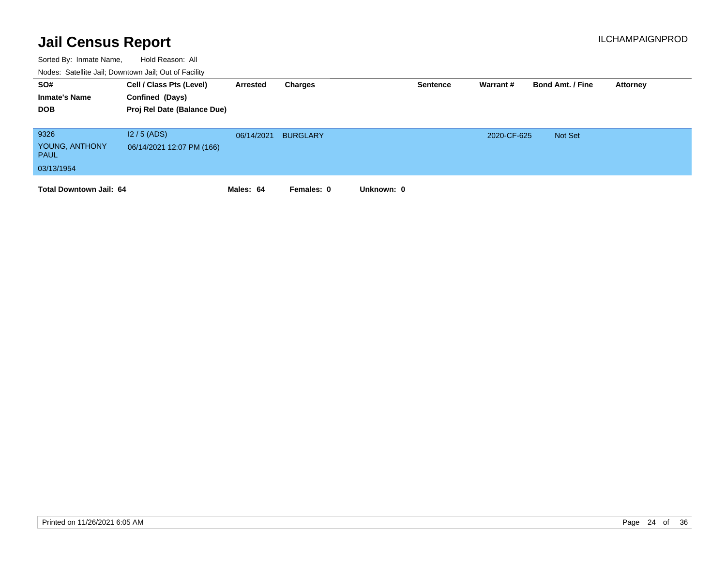| SO#<br><b>Inmate's Name</b><br><b>DOB</b>           | Cell / Class Pts (Level)<br>Confined (Days)<br>Proj Rel Date (Balance Due) | Arrested   | Charges         |            | <b>Sentence</b> | Warrant #   | <b>Bond Amt. / Fine</b> | Attorney |
|-----------------------------------------------------|----------------------------------------------------------------------------|------------|-----------------|------------|-----------------|-------------|-------------------------|----------|
| 9326<br>YOUNG, ANTHONY<br><b>PAUL</b><br>03/13/1954 | $12/5$ (ADS)<br>06/14/2021 12:07 PM (166)                                  | 06/14/2021 | <b>BURGLARY</b> |            |                 | 2020-CF-625 | <b>Not Set</b>          |          |
| <b>Total Downtown Jail: 64</b>                      |                                                                            | Males: 64  | Females: 0      | Unknown: 0 |                 |             |                         |          |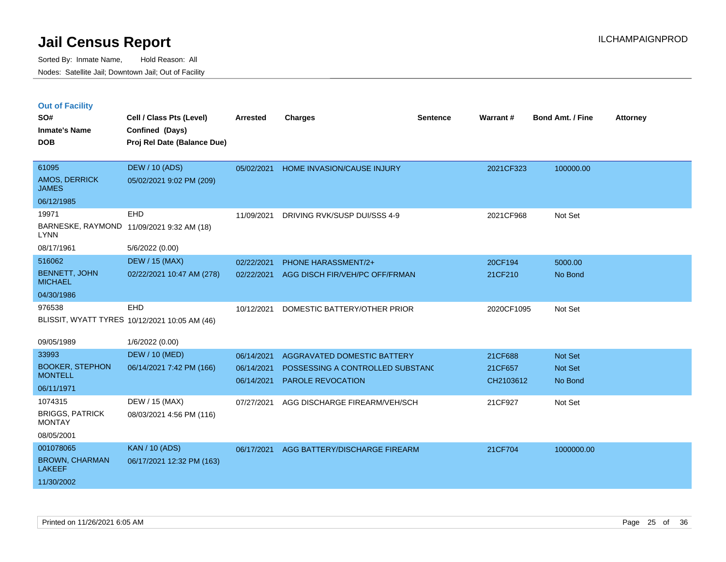|  |  | <b>Out of Facility</b> |
|--|--|------------------------|
|  |  |                        |

| SO#<br><b>Inmate's Name</b><br><b>DOB</b>                                     | Cell / Class Pts (Level)<br>Confined (Days)<br>Proj Rel Date (Balance Due) | <b>Arrested</b>                        | <b>Charges</b>                                                                              | <b>Sentence</b> | Warrant#                        | <b>Bond Amt. / Fine</b>              | <b>Attorney</b> |
|-------------------------------------------------------------------------------|----------------------------------------------------------------------------|----------------------------------------|---------------------------------------------------------------------------------------------|-----------------|---------------------------------|--------------------------------------|-----------------|
| 61095<br>AMOS, DERRICK<br><b>JAMES</b>                                        | <b>DEW / 10 (ADS)</b><br>05/02/2021 9:02 PM (209)                          | 05/02/2021                             | HOME INVASION/CAUSE INJURY                                                                  |                 | 2021CF323                       | 100000.00                            |                 |
| 06/12/1985<br>19971<br><b>LYNN</b><br>08/17/1961                              | <b>EHD</b><br>BARNESKE, RAYMOND 11/09/2021 9:32 AM (18)<br>5/6/2022 (0.00) | 11/09/2021                             | DRIVING RVK/SUSP DUI/SSS 4-9                                                                |                 | 2021CF968                       | Not Set                              |                 |
| 516062<br><b>BENNETT, JOHN</b><br><b>MICHAEL</b><br>04/30/1986                | <b>DEW / 15 (MAX)</b><br>02/22/2021 10:47 AM (278)                         | 02/22/2021<br>02/22/2021               | <b>PHONE HARASSMENT/2+</b><br>AGG DISCH FIR/VEH/PC OFF/FRMAN                                |                 | 20CF194<br>21CF210              | 5000.00<br>No Bond                   |                 |
| 976538                                                                        | EHD<br>BLISSIT, WYATT TYRES 10/12/2021 10:05 AM (46)                       | 10/12/2021                             | DOMESTIC BATTERY/OTHER PRIOR                                                                |                 | 2020CF1095                      | Not Set                              |                 |
| 09/05/1989<br>33993<br><b>BOOKER, STEPHON</b><br><b>MONTELL</b><br>06/11/1971 | 1/6/2022 (0.00)<br><b>DEW / 10 (MED)</b><br>06/14/2021 7:42 PM (166)       | 06/14/2021<br>06/14/2021<br>06/14/2021 | AGGRAVATED DOMESTIC BATTERY<br>POSSESSING A CONTROLLED SUBSTANC<br><b>PAROLE REVOCATION</b> |                 | 21CF688<br>21CF657<br>CH2103612 | <b>Not Set</b><br>Not Set<br>No Bond |                 |
| 1074315<br><b>BRIGGS, PATRICK</b><br><b>MONTAY</b><br>08/05/2001              | DEW / 15 (MAX)<br>08/03/2021 4:56 PM (116)                                 | 07/27/2021                             | AGG DISCHARGE FIREARM/VEH/SCH                                                               |                 | 21CF927                         | Not Set                              |                 |
| 001078065<br><b>BROWN, CHARMAN</b><br><b>LAKEEF</b><br>11/30/2002             | <b>KAN / 10 (ADS)</b><br>06/17/2021 12:32 PM (163)                         | 06/17/2021                             | AGG BATTERY/DISCHARGE FIREARM                                                               |                 | 21CF704                         | 1000000.00                           |                 |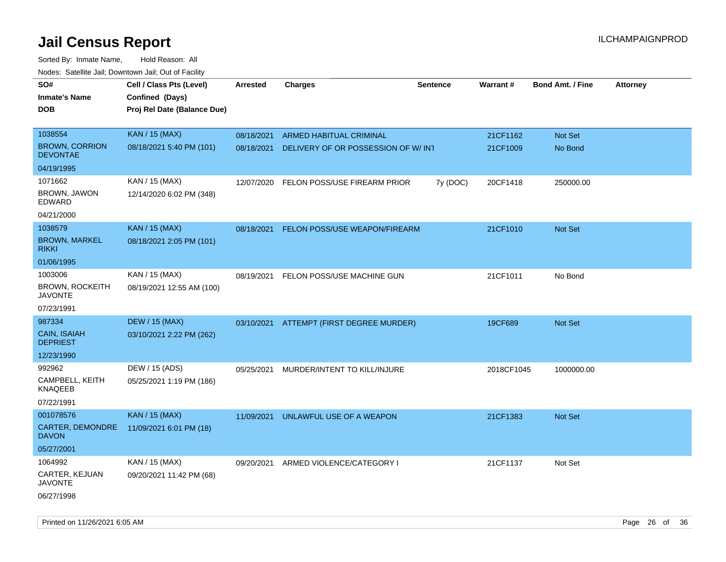| noaco. Catomto can, Domntonn can, Cat or I domt<br>SO#<br><b>Inmate's Name</b><br><b>DOB</b> | Cell / Class Pts (Level)<br>Confined (Days)<br>Proj Rel Date (Balance Due) | Arrested   | <b>Charges</b>                           | <b>Sentence</b> | Warrant#   | <b>Bond Amt. / Fine</b> | <b>Attorney</b> |
|----------------------------------------------------------------------------------------------|----------------------------------------------------------------------------|------------|------------------------------------------|-----------------|------------|-------------------------|-----------------|
| 1038554                                                                                      | <b>KAN / 15 (MAX)</b>                                                      | 08/18/2021 | <b>ARMED HABITUAL CRIMINAL</b>           |                 | 21CF1162   | Not Set                 |                 |
| <b>BROWN, CORRION</b><br><b>DEVONTAE</b>                                                     | 08/18/2021 5:40 PM (101)                                                   | 08/18/2021 | DELIVERY OF OR POSSESSION OF W/INT       |                 | 21CF1009   | No Bond                 |                 |
| 04/19/1995                                                                                   |                                                                            |            |                                          |                 |            |                         |                 |
| 1071662                                                                                      | KAN / 15 (MAX)                                                             | 12/07/2020 | FELON POSS/USE FIREARM PRIOR             | 7y (DOC)        | 20CF1418   | 250000.00               |                 |
| BROWN, JAWON<br>EDWARD                                                                       | 12/14/2020 6:02 PM (348)                                                   |            |                                          |                 |            |                         |                 |
| 04/21/2000                                                                                   |                                                                            |            |                                          |                 |            |                         |                 |
| 1038579                                                                                      | <b>KAN / 15 (MAX)</b>                                                      | 08/18/2021 | FELON POSS/USE WEAPON/FIREARM            |                 | 21CF1010   | <b>Not Set</b>          |                 |
| <b>BROWN, MARKEL</b><br><b>RIKKI</b>                                                         | 08/18/2021 2:05 PM (101)                                                   |            |                                          |                 |            |                         |                 |
| 01/06/1995                                                                                   |                                                                            |            |                                          |                 |            |                         |                 |
| 1003006                                                                                      | KAN / 15 (MAX)                                                             | 08/19/2021 | FELON POSS/USE MACHINE GUN               |                 | 21CF1011   | No Bond                 |                 |
| <b>BROWN, ROCKEITH</b><br><b>JAVONTE</b>                                                     | 08/19/2021 12:55 AM (100)                                                  |            |                                          |                 |            |                         |                 |
| 07/23/1991                                                                                   |                                                                            |            |                                          |                 |            |                         |                 |
| 987334                                                                                       | <b>DEW / 15 (MAX)</b>                                                      |            | 03/10/2021 ATTEMPT (FIRST DEGREE MURDER) |                 | 19CF689    | Not Set                 |                 |
| <b>CAIN, ISAIAH</b><br><b>DEPRIEST</b>                                                       | 03/10/2021 2:22 PM (262)                                                   |            |                                          |                 |            |                         |                 |
| 12/23/1990                                                                                   |                                                                            |            |                                          |                 |            |                         |                 |
| 992962                                                                                       | DEW / 15 (ADS)                                                             | 05/25/2021 | MURDER/INTENT TO KILL/INJURE             |                 | 2018CF1045 | 1000000.00              |                 |
| CAMPBELL, KEITH<br><b>KNAQEEB</b>                                                            | 05/25/2021 1:19 PM (186)                                                   |            |                                          |                 |            |                         |                 |
| 07/22/1991                                                                                   |                                                                            |            |                                          |                 |            |                         |                 |
| 001078576                                                                                    | <b>KAN / 15 (MAX)</b>                                                      | 11/09/2021 | UNLAWFUL USE OF A WEAPON                 |                 | 21CF1383   | <b>Not Set</b>          |                 |
| CARTER, DEMONDRE<br><b>DAVON</b>                                                             | 11/09/2021 6:01 PM (18)                                                    |            |                                          |                 |            |                         |                 |
| 05/27/2001                                                                                   |                                                                            |            |                                          |                 |            |                         |                 |
| 1064992                                                                                      | KAN / 15 (MAX)                                                             | 09/20/2021 | ARMED VIOLENCE/CATEGORY I                |                 | 21CF1137   | Not Set                 |                 |
| CARTER, KEJUAN<br><b>JAVONTE</b>                                                             | 09/20/2021 11:42 PM (68)                                                   |            |                                          |                 |            |                         |                 |
| 06/27/1998                                                                                   |                                                                            |            |                                          |                 |            |                         |                 |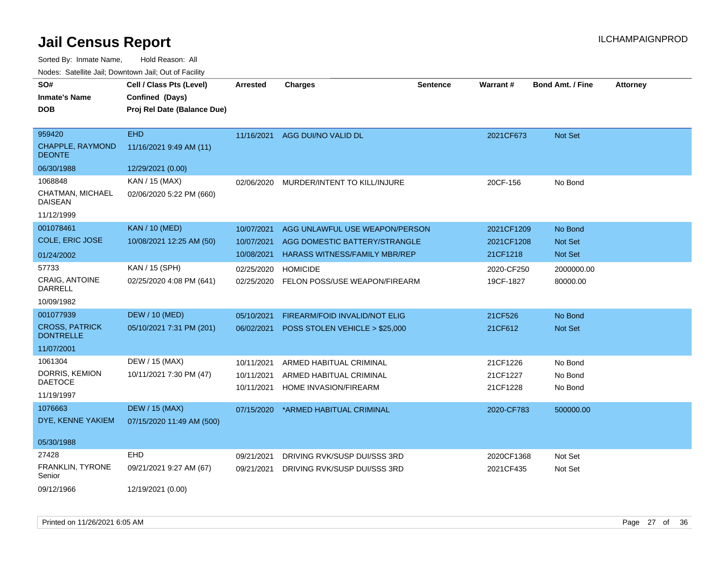| SO#                                       | Cell / Class Pts (Level)    | Arrested   | <b>Charges</b>                           | <b>Sentence</b> | <b>Warrant#</b> | <b>Bond Amt. / Fine</b> | <b>Attorney</b> |
|-------------------------------------------|-----------------------------|------------|------------------------------------------|-----------------|-----------------|-------------------------|-----------------|
| <b>Inmate's Name</b>                      | Confined (Days)             |            |                                          |                 |                 |                         |                 |
| <b>DOB</b>                                | Proj Rel Date (Balance Due) |            |                                          |                 |                 |                         |                 |
|                                           |                             |            |                                          |                 |                 |                         |                 |
| 959420                                    | <b>EHD</b>                  |            | 11/16/2021 AGG DUI/NO VALID DL           |                 | 2021CF673       | Not Set                 |                 |
| <b>CHAPPLE, RAYMOND</b><br><b>DEONTE</b>  | 11/16/2021 9:49 AM (11)     |            |                                          |                 |                 |                         |                 |
| 06/30/1988                                | 12/29/2021 (0.00)           |            |                                          |                 |                 |                         |                 |
| 1068848                                   | KAN / 15 (MAX)              | 02/06/2020 | MURDER/INTENT TO KILL/INJURE             |                 | 20CF-156        | No Bond                 |                 |
| CHATMAN, MICHAEL<br><b>DAISEAN</b>        | 02/06/2020 5:22 PM (660)    |            |                                          |                 |                 |                         |                 |
| 11/12/1999                                |                             |            |                                          |                 |                 |                         |                 |
| 001078461                                 | <b>KAN / 10 (MED)</b>       | 10/07/2021 | AGG UNLAWFUL USE WEAPON/PERSON           |                 | 2021CF1209      | No Bond                 |                 |
| <b>COLE, ERIC JOSE</b>                    | 10/08/2021 12:25 AM (50)    | 10/07/2021 | AGG DOMESTIC BATTERY/STRANGLE            |                 | 2021CF1208      | Not Set                 |                 |
| 01/24/2002                                |                             | 10/08/2021 | <b>HARASS WITNESS/FAMILY MBR/REP</b>     |                 | 21CF1218        | Not Set                 |                 |
| 57733                                     | KAN / 15 (SPH)              | 02/25/2020 | <b>HOMICIDE</b>                          |                 | 2020-CF250      | 2000000.00              |                 |
| <b>CRAIG. ANTOINE</b><br>DARRELL          | 02/25/2020 4:08 PM (641)    |            | 02/25/2020 FELON POSS/USE WEAPON/FIREARM |                 | 19CF-1827       | 80000.00                |                 |
| 10/09/1982                                |                             |            |                                          |                 |                 |                         |                 |
| 001077939                                 | <b>DEW / 10 (MED)</b>       | 05/10/2021 | FIREARM/FOID INVALID/NOT ELIG            |                 | 21CF526         | No Bond                 |                 |
| <b>CROSS, PATRICK</b><br><b>DONTRELLE</b> | 05/10/2021 7:31 PM (201)    | 06/02/2021 | POSS STOLEN VEHICLE > \$25,000           |                 | 21CF612         | Not Set                 |                 |
| 11/07/2001                                |                             |            |                                          |                 |                 |                         |                 |
| 1061304                                   | DEW / 15 (MAX)              | 10/11/2021 | ARMED HABITUAL CRIMINAL                  |                 | 21CF1226        | No Bond                 |                 |
| DORRIS, KEMION                            | 10/11/2021 7:30 PM (47)     | 10/11/2021 | ARMED HABITUAL CRIMINAL                  |                 | 21CF1227        | No Bond                 |                 |
| <b>DAETOCE</b>                            |                             | 10/11/2021 | HOME INVASION/FIREARM                    |                 | 21CF1228        | No Bond                 |                 |
| 11/19/1997                                |                             |            |                                          |                 |                 |                         |                 |
| 1076663                                   | <b>DEW / 15 (MAX)</b>       | 07/15/2020 | *ARMED HABITUAL CRIMINAL                 |                 | 2020-CF783      | 500000.00               |                 |
| DYE, KENNE YAKIEM                         | 07/15/2020 11:49 AM (500)   |            |                                          |                 |                 |                         |                 |
| 05/30/1988                                |                             |            |                                          |                 |                 |                         |                 |
| 27428                                     | EHD                         | 09/21/2021 | DRIVING RVK/SUSP DUI/SSS 3RD             |                 | 2020CF1368      | Not Set                 |                 |
| FRANKLIN, TYRONE<br>Senior                | 09/21/2021 9:27 AM (67)     | 09/21/2021 | DRIVING RVK/SUSP DUI/SSS 3RD             |                 | 2021CF435       | Not Set                 |                 |
| 09/12/1966                                | 12/19/2021 (0.00)           |            |                                          |                 |                 |                         |                 |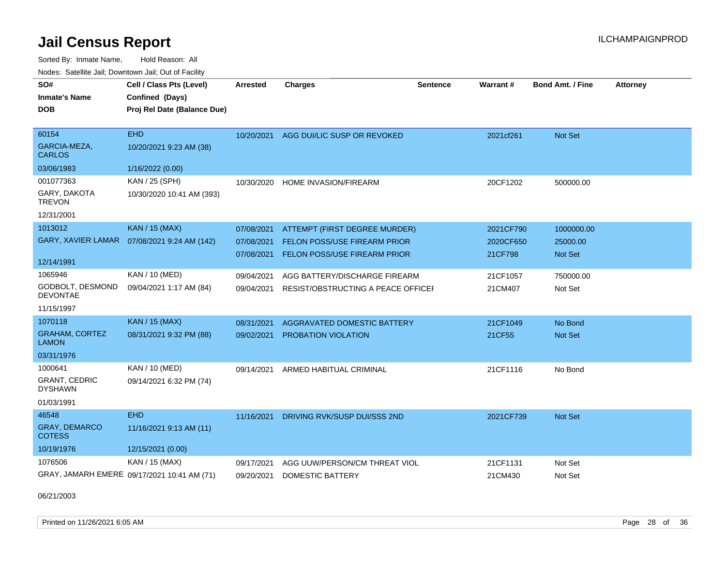Sorted By: Inmate Name, Hold Reason: All Nodes: Satellite Jail; Downtown Jail; Out of Facility

| SO#                                    | Cell / Class Pts (Level)                    | <b>Arrested</b> | <b>Charges</b>                     | <b>Sentence</b> | Warrant#  | <b>Bond Amt. / Fine</b> | <b>Attorney</b> |
|----------------------------------------|---------------------------------------------|-----------------|------------------------------------|-----------------|-----------|-------------------------|-----------------|
| <b>Inmate's Name</b>                   | Confined (Days)                             |                 |                                    |                 |           |                         |                 |
| <b>DOB</b>                             | Proj Rel Date (Balance Due)                 |                 |                                    |                 |           |                         |                 |
|                                        |                                             |                 |                                    |                 |           |                         |                 |
| 60154                                  | <b>EHD</b>                                  | 10/20/2021      | AGG DUI/LIC SUSP OR REVOKED        |                 | 2021cf261 | Not Set                 |                 |
| GARCIA-MEZA,<br><b>CARLOS</b>          | 10/20/2021 9:23 AM (38)                     |                 |                                    |                 |           |                         |                 |
| 03/06/1983                             | 1/16/2022 (0.00)                            |                 |                                    |                 |           |                         |                 |
| 001077363                              | KAN / 25 (SPH)                              | 10/30/2020      | HOME INVASION/FIREARM              |                 | 20CF1202  | 500000.00               |                 |
| GARY, DAKOTA<br><b>TREVON</b>          | 10/30/2020 10:41 AM (393)                   |                 |                                    |                 |           |                         |                 |
| 12/31/2001                             |                                             |                 |                                    |                 |           |                         |                 |
| 1013012                                | <b>KAN / 15 (MAX)</b>                       | 07/08/2021      | ATTEMPT (FIRST DEGREE MURDER)      |                 | 2021CF790 | 1000000.00              |                 |
| <b>GARY, XAVIER LAMAR</b>              | 07/08/2021 9:24 AM (142)                    | 07/08/2021      | FELON POSS/USE FIREARM PRIOR       |                 | 2020CF650 | 25000.00                |                 |
|                                        |                                             | 07/08/2021      | FELON POSS/USE FIREARM PRIOR       |                 | 21CF798   | Not Set                 |                 |
| 12/14/1991                             |                                             |                 |                                    |                 |           |                         |                 |
| 1065946                                | KAN / 10 (MED)                              | 09/04/2021      | AGG BATTERY/DISCHARGE FIREARM      |                 | 21CF1057  | 750000.00               |                 |
| GODBOLT, DESMOND<br><b>DEVONTAE</b>    | 09/04/2021 1:17 AM (84)                     | 09/04/2021      | RESIST/OBSTRUCTING A PEACE OFFICEL |                 | 21CM407   | Not Set                 |                 |
| 11/15/1997                             |                                             |                 |                                    |                 |           |                         |                 |
| 1070118                                | <b>KAN / 15 (MAX)</b>                       | 08/31/2021      | <b>AGGRAVATED DOMESTIC BATTERY</b> |                 | 21CF1049  | No Bond                 |                 |
| <b>GRAHAM, CORTEZ</b><br><b>LAMON</b>  | 08/31/2021 9:32 PM (88)                     | 09/02/2021      | PROBATION VIOLATION                |                 | 21CF55    | <b>Not Set</b>          |                 |
| 03/31/1976                             |                                             |                 |                                    |                 |           |                         |                 |
| 1000641                                | KAN / 10 (MED)                              | 09/14/2021      | ARMED HABITUAL CRIMINAL            |                 | 21CF1116  | No Bond                 |                 |
| <b>GRANT, CEDRIC</b><br><b>DYSHAWN</b> | 09/14/2021 6:32 PM (74)                     |                 |                                    |                 |           |                         |                 |
| 01/03/1991                             |                                             |                 |                                    |                 |           |                         |                 |
| 46548                                  | <b>EHD</b>                                  | 11/16/2021      | DRIVING RVK/SUSP DUI/SSS 2ND       |                 | 2021CF739 | <b>Not Set</b>          |                 |
| <b>GRAY, DEMARCO</b><br><b>COTESS</b>  | 11/16/2021 9:13 AM (11)                     |                 |                                    |                 |           |                         |                 |
| 10/19/1976                             | 12/15/2021 (0.00)                           |                 |                                    |                 |           |                         |                 |
| 1076506                                | KAN / 15 (MAX)                              | 09/17/2021      | AGG UUW/PERSON/CM THREAT VIOL      |                 | 21CF1131  | Not Set                 |                 |
|                                        | GRAY, JAMARH EMERE 09/17/2021 10:41 AM (71) | 09/20/2021      | DOMESTIC BATTERY                   |                 | 21CM430   | Not Set                 |                 |

06/21/2003

Printed on 11/26/2021 6:05 AM Page 28 of 36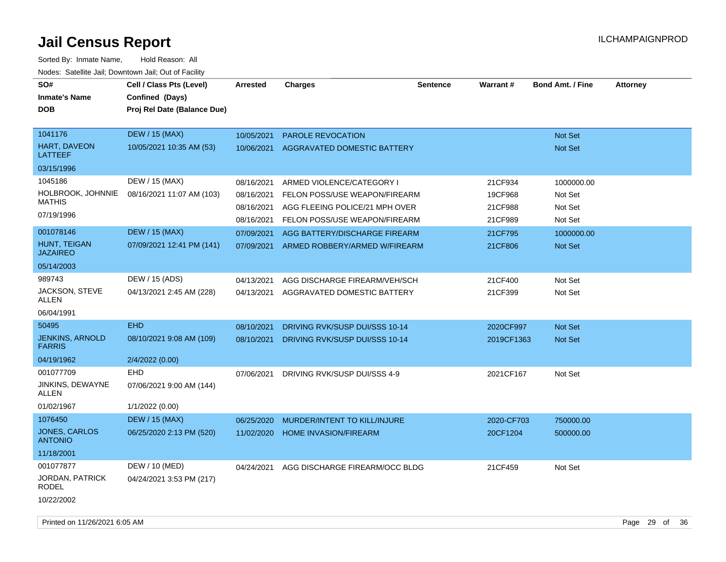| SO#<br><b>Inmate's Name</b><br><b>DOB</b> | Cell / Class Pts (Level)<br>Confined (Days)<br>Proj Rel Date (Balance Due) | Arrested   | <b>Charges</b>                 | <b>Sentence</b> | <b>Warrant#</b> | <b>Bond Amt. / Fine</b> | <b>Attorney</b> |
|-------------------------------------------|----------------------------------------------------------------------------|------------|--------------------------------|-----------------|-----------------|-------------------------|-----------------|
| 1041176                                   | <b>DEW / 15 (MAX)</b>                                                      | 10/05/2021 | PAROLE REVOCATION              |                 |                 | Not Set                 |                 |
| HART, DAVEON<br><b>LATTEEF</b>            | 10/05/2021 10:35 AM (53)                                                   | 10/06/2021 | AGGRAVATED DOMESTIC BATTERY    |                 |                 | Not Set                 |                 |
| 03/15/1996                                |                                                                            |            |                                |                 |                 |                         |                 |
| 1045186                                   | DEW / 15 (MAX)                                                             | 08/16/2021 | ARMED VIOLENCE/CATEGORY I      |                 | 21CF934         | 1000000.00              |                 |
| HOLBROOK, JOHNNIE                         | 08/16/2021 11:07 AM (103)                                                  | 08/16/2021 | FELON POSS/USE WEAPON/FIREARM  |                 | 19CF968         | Not Set                 |                 |
| <b>MATHIS</b>                             |                                                                            | 08/16/2021 | AGG FLEEING POLICE/21 MPH OVER |                 | 21CF988         | Not Set                 |                 |
| 07/19/1996                                |                                                                            | 08/16/2021 | FELON POSS/USE WEAPON/FIREARM  |                 | 21CF989         | Not Set                 |                 |
| 001078146                                 | <b>DEW / 15 (MAX)</b>                                                      | 07/09/2021 | AGG BATTERY/DISCHARGE FIREARM  |                 | 21CF795         | 1000000.00              |                 |
| HUNT, TEIGAN<br><b>JAZAIREO</b>           | 07/09/2021 12:41 PM (141)                                                  | 07/09/2021 | ARMED ROBBERY/ARMED W/FIREARM  |                 | 21CF806         | Not Set                 |                 |
| 05/14/2003                                |                                                                            |            |                                |                 |                 |                         |                 |
| 989743                                    | DEW / 15 (ADS)                                                             | 04/13/2021 | AGG DISCHARGE FIREARM/VEH/SCH  |                 | 21CF400         | Not Set                 |                 |
| JACKSON, STEVE<br>ALLEN                   | 04/13/2021 2:45 AM (228)                                                   | 04/13/2021 | AGGRAVATED DOMESTIC BATTERY    |                 | 21CF399         | Not Set                 |                 |
| 06/04/1991                                |                                                                            |            |                                |                 |                 |                         |                 |
| 50495                                     | <b>EHD</b>                                                                 | 08/10/2021 | DRIVING RVK/SUSP DUI/SSS 10-14 |                 | 2020CF997       | Not Set                 |                 |
| <b>JENKINS, ARNOLD</b><br><b>FARRIS</b>   | 08/10/2021 9:08 AM (109)                                                   | 08/10/2021 | DRIVING RVK/SUSP DUI/SSS 10-14 |                 | 2019CF1363      | Not Set                 |                 |
| 04/19/1962                                | 2/4/2022 (0.00)                                                            |            |                                |                 |                 |                         |                 |
| 001077709                                 | <b>EHD</b>                                                                 | 07/06/2021 | DRIVING RVK/SUSP DUI/SSS 4-9   |                 | 2021CF167       | Not Set                 |                 |
| JINKINS, DEWAYNE<br>ALLEN                 | 07/06/2021 9:00 AM (144)                                                   |            |                                |                 |                 |                         |                 |
| 01/02/1967                                | 1/1/2022 (0.00)                                                            |            |                                |                 |                 |                         |                 |
| 1076450                                   | <b>DEW / 15 (MAX)</b>                                                      | 06/25/2020 | MURDER/INTENT TO KILL/INJURE   |                 | 2020-CF703      | 750000.00               |                 |
| JONES, CARLOS<br><b>ANTONIO</b>           | 06/25/2020 2:13 PM (520)                                                   | 11/02/2020 | <b>HOME INVASION/FIREARM</b>   |                 | 20CF1204        | 500000.00               |                 |
| 11/18/2001                                |                                                                            |            |                                |                 |                 |                         |                 |
| 001077877                                 | DEW / 10 (MED)                                                             | 04/24/2021 | AGG DISCHARGE FIREARM/OCC BLDG |                 | 21CF459         | Not Set                 |                 |
| JORDAN, PATRICK<br><b>RODEL</b>           | 04/24/2021 3:53 PM (217)                                                   |            |                                |                 |                 |                         |                 |
| 10/22/2002                                |                                                                            |            |                                |                 |                 |                         |                 |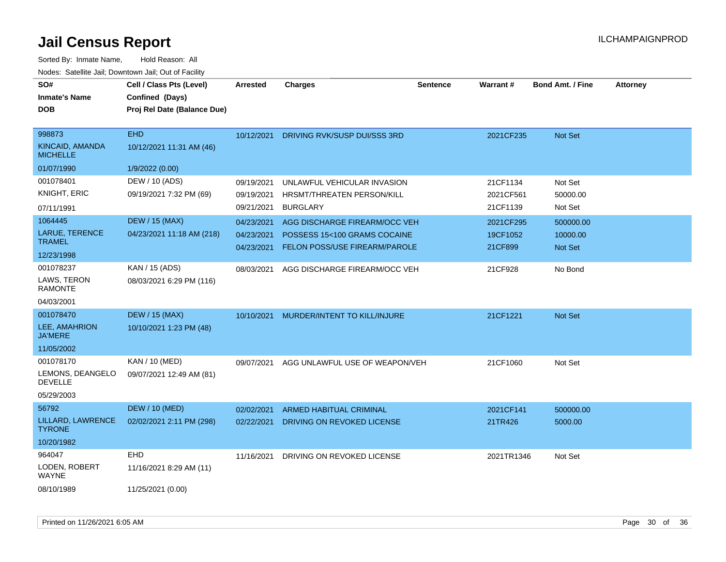| SO#                                | Cell / Class Pts (Level)    | <b>Arrested</b> | <b>Charges</b>                       | <b>Sentence</b> | Warrant#   | <b>Bond Amt. / Fine</b> | <b>Attorney</b> |
|------------------------------------|-----------------------------|-----------------|--------------------------------------|-----------------|------------|-------------------------|-----------------|
| <b>Inmate's Name</b>               | Confined (Days)             |                 |                                      |                 |            |                         |                 |
| DOB                                | Proj Rel Date (Balance Due) |                 |                                      |                 |            |                         |                 |
|                                    |                             |                 |                                      |                 |            |                         |                 |
| 998873                             | <b>EHD</b>                  | 10/12/2021      | DRIVING RVK/SUSP DUI/SSS 3RD         |                 | 2021CF235  | Not Set                 |                 |
| KINCAID, AMANDA<br><b>MICHELLE</b> | 10/12/2021 11:31 AM (46)    |                 |                                      |                 |            |                         |                 |
| 01/07/1990                         | 1/9/2022 (0.00)             |                 |                                      |                 |            |                         |                 |
| 001078401                          | DEW / 10 (ADS)              | 09/19/2021      | UNLAWFUL VEHICULAR INVASION          |                 | 21CF1134   | Not Set                 |                 |
| <b>KNIGHT, ERIC</b>                | 09/19/2021 7:32 PM (69)     | 09/19/2021      | HRSMT/THREATEN PERSON/KILL           |                 | 2021CF561  | 50000.00                |                 |
| 07/11/1991                         |                             | 09/21/2021      | <b>BURGLARY</b>                      |                 | 21CF1139   | Not Set                 |                 |
| 1064445                            | <b>DEW / 15 (MAX)</b>       | 04/23/2021      | AGG DISCHARGE FIREARM/OCC VEH        |                 | 2021CF295  | 500000.00               |                 |
| LARUE, TERENCE                     | 04/23/2021 11:18 AM (218)   | 04/23/2021      | POSSESS 15<100 GRAMS COCAINE         |                 | 19CF1052   | 10000.00                |                 |
| <b>TRAMEL</b>                      |                             | 04/23/2021      | <b>FELON POSS/USE FIREARM/PAROLE</b> |                 | 21CF899    | Not Set                 |                 |
| 12/23/1998                         |                             |                 |                                      |                 |            |                         |                 |
| 001078237                          | KAN / 15 (ADS)              | 08/03/2021      | AGG DISCHARGE FIREARM/OCC VEH        |                 | 21CF928    | No Bond                 |                 |
| LAWS, TERON<br><b>RAMONTE</b>      | 08/03/2021 6:29 PM (116)    |                 |                                      |                 |            |                         |                 |
| 04/03/2001                         |                             |                 |                                      |                 |            |                         |                 |
| 001078470                          | <b>DEW / 15 (MAX)</b>       | 10/10/2021      | MURDER/INTENT TO KILL/INJURE         |                 | 21CF1221   | Not Set                 |                 |
| LEE, AMAHRION<br><b>JA'MERE</b>    | 10/10/2021 1:23 PM (48)     |                 |                                      |                 |            |                         |                 |
| 11/05/2002                         |                             |                 |                                      |                 |            |                         |                 |
| 001078170                          | KAN / 10 (MED)              | 09/07/2021      | AGG UNLAWFUL USE OF WEAPON/VEH       |                 | 21CF1060   | Not Set                 |                 |
| LEMONS, DEANGELO<br><b>DEVELLE</b> | 09/07/2021 12:49 AM (81)    |                 |                                      |                 |            |                         |                 |
| 05/29/2003                         |                             |                 |                                      |                 |            |                         |                 |
| 56792                              | <b>DEW / 10 (MED)</b>       | 02/02/2021      | <b>ARMED HABITUAL CRIMINAL</b>       |                 | 2021CF141  | 500000.00               |                 |
| LILLARD, LAWRENCE<br><b>TYRONE</b> | 02/02/2021 2:11 PM (298)    | 02/22/2021      | DRIVING ON REVOKED LICENSE           |                 | 21TR426    | 5000.00                 |                 |
| 10/20/1982                         |                             |                 |                                      |                 |            |                         |                 |
| 964047                             | <b>EHD</b>                  | 11/16/2021      | DRIVING ON REVOKED LICENSE           |                 | 2021TR1346 | Not Set                 |                 |
| LODEN, ROBERT<br><b>WAYNE</b>      | 11/16/2021 8:29 AM (11)     |                 |                                      |                 |            |                         |                 |
| 08/10/1989                         | 11/25/2021 (0.00)           |                 |                                      |                 |            |                         |                 |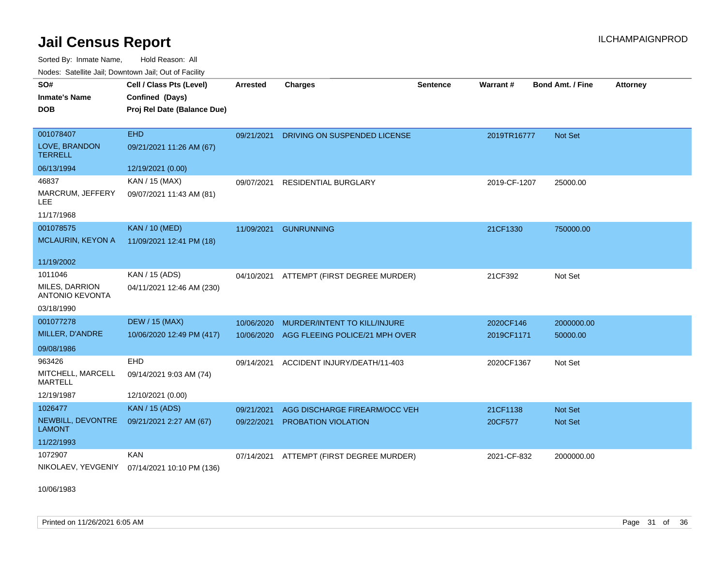Sorted By: Inmate Name, Hold Reason: All Nodes: Satellite Jail; Downtown Jail; Out of Facility

| SO#<br><b>Inmate's Name</b>                     | Cell / Class Pts (Level)<br>Confined (Days)  | <b>Arrested</b> | <b>Charges</b>                            | <b>Sentence</b> | Warrant#     | <b>Bond Amt. / Fine</b> | <b>Attorney</b> |
|-------------------------------------------------|----------------------------------------------|-----------------|-------------------------------------------|-----------------|--------------|-------------------------|-----------------|
| <b>DOB</b>                                      | Proj Rel Date (Balance Due)                  |                 |                                           |                 |              |                         |                 |
|                                                 |                                              |                 |                                           |                 |              |                         |                 |
| 001078407                                       | <b>EHD</b>                                   | 09/21/2021      | DRIVING ON SUSPENDED LICENSE              |                 | 2019TR16777  | <b>Not Set</b>          |                 |
| LOVE, BRANDON<br><b>TERRELL</b>                 | 09/21/2021 11:26 AM (67)                     |                 |                                           |                 |              |                         |                 |
| 06/13/1994                                      | 12/19/2021 (0.00)                            |                 |                                           |                 |              |                         |                 |
| 46837                                           | KAN / 15 (MAX)                               | 09/07/2021      | <b>RESIDENTIAL BURGLARY</b>               |                 | 2019-CF-1207 | 25000.00                |                 |
| MARCRUM, JEFFERY<br>LEE.                        | 09/07/2021 11:43 AM (81)                     |                 |                                           |                 |              |                         |                 |
| 11/17/1968                                      |                                              |                 |                                           |                 |              |                         |                 |
| 001078575                                       | <b>KAN / 10 (MED)</b>                        | 11/09/2021      | <b>GUNRUNNING</b>                         |                 | 21CF1330     | 750000.00               |                 |
| <b>MCLAURIN, KEYON A</b>                        | 11/09/2021 12:41 PM (18)                     |                 |                                           |                 |              |                         |                 |
| 11/19/2002                                      |                                              |                 |                                           |                 |              |                         |                 |
| 1011046                                         | KAN / 15 (ADS)                               |                 | 04/10/2021 ATTEMPT (FIRST DEGREE MURDER)  |                 | 21CF392      | Not Set                 |                 |
| <b>MILES, DARRION</b><br><b>ANTONIO KEVONTA</b> | 04/11/2021 12:46 AM (230)                    |                 |                                           |                 |              |                         |                 |
| 03/18/1990                                      |                                              |                 |                                           |                 |              |                         |                 |
| 001077278                                       | <b>DEW / 15 (MAX)</b>                        | 10/06/2020      | MURDER/INTENT TO KILL/INJURE              |                 | 2020CF146    | 2000000.00              |                 |
| MILLER, D'ANDRE                                 | 10/06/2020 12:49 PM (417)                    |                 | 10/06/2020 AGG FLEEING POLICE/21 MPH OVER |                 | 2019CF1171   | 50000.00                |                 |
| 09/08/1986                                      |                                              |                 |                                           |                 |              |                         |                 |
| 963426                                          | EHD                                          | 09/14/2021      | ACCIDENT INJURY/DEATH/11-403              |                 | 2020CF1367   | Not Set                 |                 |
| MITCHELL, MARCELL<br><b>MARTELL</b>             | 09/14/2021 9:03 AM (74)                      |                 |                                           |                 |              |                         |                 |
| 12/19/1987                                      | 12/10/2021 (0.00)                            |                 |                                           |                 |              |                         |                 |
| 1026477                                         | <b>KAN / 15 (ADS)</b>                        | 09/21/2021      | AGG DISCHARGE FIREARM/OCC VEH             |                 | 21CF1138     | <b>Not Set</b>          |                 |
| NEWBILL, DEVONTRE<br><b>LAMONT</b>              | 09/21/2021 2:27 AM (67)                      | 09/22/2021      | PROBATION VIOLATION                       |                 | 20CF577      | <b>Not Set</b>          |                 |
| 11/22/1993                                      |                                              |                 |                                           |                 |              |                         |                 |
| 1072907                                         | <b>KAN</b>                                   | 07/14/2021      | ATTEMPT (FIRST DEGREE MURDER)             |                 | 2021-CF-832  | 2000000.00              |                 |
|                                                 | NIKOLAEV, YEVGENIY 07/14/2021 10:10 PM (136) |                 |                                           |                 |              |                         |                 |

10/06/1983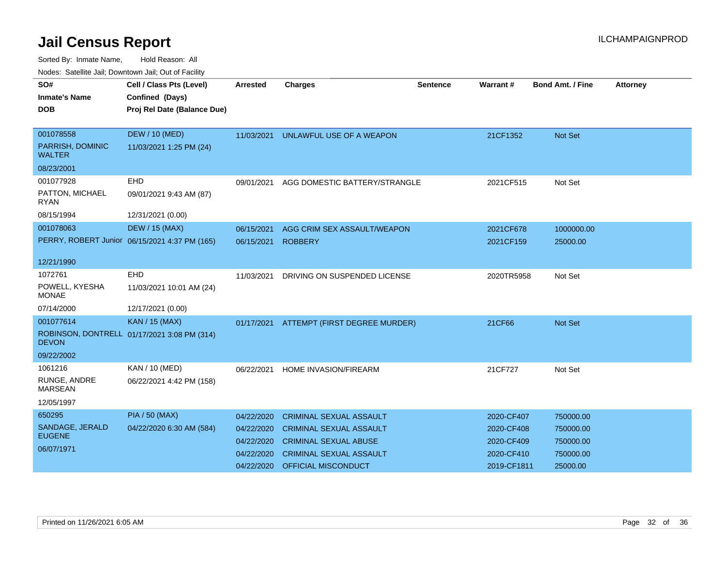| SO#<br><b>Inmate's Name</b>       | Cell / Class Pts (Level)<br>Confined (Days)   | <b>Arrested</b> | <b>Charges</b>                           | Sentence | Warrant#    | <b>Bond Amt. / Fine</b> | <b>Attorney</b> |
|-----------------------------------|-----------------------------------------------|-----------------|------------------------------------------|----------|-------------|-------------------------|-----------------|
| <b>DOB</b>                        | Proj Rel Date (Balance Due)                   |                 |                                          |          |             |                         |                 |
| 001078558                         | <b>DEW / 10 (MED)</b>                         | 11/03/2021      | UNLAWFUL USE OF A WEAPON                 |          | 21CF1352    | <b>Not Set</b>          |                 |
| PARRISH, DOMINIC<br><b>WALTER</b> | 11/03/2021 1:25 PM (24)                       |                 |                                          |          |             |                         |                 |
| 08/23/2001                        |                                               |                 |                                          |          |             |                         |                 |
| 001077928                         | <b>EHD</b>                                    | 09/01/2021      | AGG DOMESTIC BATTERY/STRANGLE            |          | 2021CF515   | Not Set                 |                 |
| PATTON, MICHAEL<br><b>RYAN</b>    | 09/01/2021 9:43 AM (87)                       |                 |                                          |          |             |                         |                 |
| 08/15/1994                        | 12/31/2021 (0.00)                             |                 |                                          |          |             |                         |                 |
| 001078063                         | <b>DEW / 15 (MAX)</b>                         | 06/15/2021      | AGG CRIM SEX ASSAULT/WEAPON              |          | 2021CF678   | 1000000.00              |                 |
|                                   | PERRY, ROBERT Junior 06/15/2021 4:37 PM (165) | 06/15/2021      | <b>ROBBERY</b>                           |          | 2021CF159   | 25000.00                |                 |
| 12/21/1990                        |                                               |                 |                                          |          |             |                         |                 |
| 1072761                           | EHD                                           | 11/03/2021      | DRIVING ON SUSPENDED LICENSE             |          | 2020TR5958  | Not Set                 |                 |
| POWELL, KYESHA<br><b>MONAE</b>    | 11/03/2021 10:01 AM (24)                      |                 |                                          |          |             |                         |                 |
| 07/14/2000                        | 12/17/2021 (0.00)                             |                 |                                          |          |             |                         |                 |
| 001077614                         | <b>KAN / 15 (MAX)</b>                         |                 | 01/17/2021 ATTEMPT (FIRST DEGREE MURDER) |          | 21CF66      | Not Set                 |                 |
| <b>DEVON</b>                      | ROBINSON, DONTRELL 01/17/2021 3:08 PM (314)   |                 |                                          |          |             |                         |                 |
| 09/22/2002                        |                                               |                 |                                          |          |             |                         |                 |
| 1061216                           | KAN / 10 (MED)                                | 06/22/2021      | HOME INVASION/FIREARM                    |          | 21CF727     | Not Set                 |                 |
| RUNGE, ANDRE<br><b>MARSEAN</b>    | 06/22/2021 4:42 PM (158)                      |                 |                                          |          |             |                         |                 |
| 12/05/1997                        |                                               |                 |                                          |          |             |                         |                 |
| 650295                            | <b>PIA / 50 (MAX)</b>                         | 04/22/2020      | <b>CRIMINAL SEXUAL ASSAULT</b>           |          | 2020-CF407  | 750000.00               |                 |
| SANDAGE, JERALD                   | 04/22/2020 6:30 AM (584)                      | 04/22/2020      | <b>CRIMINAL SEXUAL ASSAULT</b>           |          | 2020-CF408  | 750000.00               |                 |
| <b>EUGENE</b>                     |                                               | 04/22/2020      | <b>CRIMINAL SEXUAL ABUSE</b>             |          | 2020-CF409  | 750000.00               |                 |
| 06/07/1971                        |                                               | 04/22/2020      | <b>CRIMINAL SEXUAL ASSAULT</b>           |          | 2020-CF410  | 750000.00               |                 |
|                                   |                                               |                 | 04/22/2020 OFFICIAL MISCONDUCT           |          | 2019-CF1811 | 25000.00                |                 |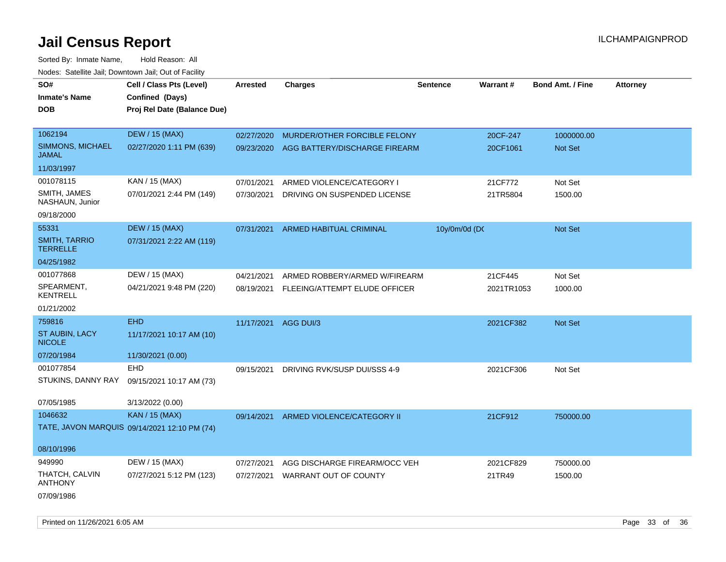Sorted By: Inmate Name, Hold Reason: All Nodes: Satellite Jail; Downtown Jail; Out of Facility

| SO#                                     | Cell / Class Pts (Level)                     | <b>Arrested</b> | <b>Charges</b>                           | <b>Sentence</b> | Warrant#   | <b>Bond Amt. / Fine</b> | <b>Attorney</b> |
|-----------------------------------------|----------------------------------------------|-----------------|------------------------------------------|-----------------|------------|-------------------------|-----------------|
| <b>Inmate's Name</b>                    | Confined (Days)                              |                 |                                          |                 |            |                         |                 |
| <b>DOB</b>                              | Proj Rel Date (Balance Due)                  |                 |                                          |                 |            |                         |                 |
|                                         |                                              |                 |                                          |                 |            |                         |                 |
| 1062194                                 | <b>DEW / 15 (MAX)</b>                        | 02/27/2020      | MURDER/OTHER FORCIBLE FELONY             |                 | 20CF-247   | 1000000.00              |                 |
| SIMMONS, MICHAEL<br><b>JAMAL</b>        | 02/27/2020 1:11 PM (639)                     |                 | 09/23/2020 AGG BATTERY/DISCHARGE FIREARM |                 | 20CF1061   | <b>Not Set</b>          |                 |
| 11/03/1997                              |                                              |                 |                                          |                 |            |                         |                 |
| 001078115                               | KAN / 15 (MAX)                               | 07/01/2021      | ARMED VIOLENCE/CATEGORY I                |                 | 21CF772    | Not Set                 |                 |
| SMITH, JAMES<br>NASHAUN, Junior         | 07/01/2021 2:44 PM (149)                     | 07/30/2021      | DRIVING ON SUSPENDED LICENSE             |                 | 21TR5804   | 1500.00                 |                 |
| 09/18/2000                              |                                              |                 |                                          |                 |            |                         |                 |
| 55331                                   | <b>DEW / 15 (MAX)</b>                        | 07/31/2021      | ARMED HABITUAL CRIMINAL                  | 10y/0m/0d (DC   |            | Not Set                 |                 |
| <b>SMITH, TARRIO</b><br><b>TERRELLE</b> | 07/31/2021 2:22 AM (119)                     |                 |                                          |                 |            |                         |                 |
| 04/25/1982                              |                                              |                 |                                          |                 |            |                         |                 |
| 001077868                               | DEW / 15 (MAX)                               | 04/21/2021      | ARMED ROBBERY/ARMED W/FIREARM            |                 | 21CF445    | Not Set                 |                 |
| SPEARMENT,<br><b>KENTRELL</b>           | 04/21/2021 9:48 PM (220)                     | 08/19/2021      | FLEEING/ATTEMPT ELUDE OFFICER            |                 | 2021TR1053 | 1000.00                 |                 |
| 01/21/2002                              |                                              |                 |                                          |                 |            |                         |                 |
| 759816                                  | <b>EHD</b>                                   | 11/17/2021      | AGG DUI/3                                |                 | 2021CF382  | Not Set                 |                 |
| ST AUBIN, LACY<br><b>NICOLE</b>         | 11/17/2021 10:17 AM (10)                     |                 |                                          |                 |            |                         |                 |
| 07/20/1984                              | 11/30/2021 (0.00)                            |                 |                                          |                 |            |                         |                 |
| 001077854                               | EHD                                          | 09/15/2021      | DRIVING RVK/SUSP DUI/SSS 4-9             |                 | 2021CF306  | Not Set                 |                 |
| STUKINS, DANNY RAY                      | 09/15/2021 10:17 AM (73)                     |                 |                                          |                 |            |                         |                 |
| 07/05/1985                              | 3/13/2022 (0.00)                             |                 |                                          |                 |            |                         |                 |
| 1046632                                 | <b>KAN / 15 (MAX)</b>                        | 09/14/2021      | ARMED VIOLENCE/CATEGORY II               |                 | 21CF912    | 750000.00               |                 |
|                                         | TATE, JAVON MARQUIS 09/14/2021 12:10 PM (74) |                 |                                          |                 |            |                         |                 |
| 08/10/1996                              |                                              |                 |                                          |                 |            |                         |                 |
| 949990                                  | DEW / 15 (MAX)                               | 07/27/2021      | AGG DISCHARGE FIREARM/OCC VEH            |                 | 2021CF829  | 750000.00               |                 |
| THATCH, CALVIN<br><b>ANTHONY</b>        | 07/27/2021 5:12 PM (123)                     | 07/27/2021      | WARRANT OUT OF COUNTY                    |                 | 21TR49     | 1500.00                 |                 |
| 07/09/1986                              |                                              |                 |                                          |                 |            |                         |                 |

Printed on 11/26/2021 6:05 AM Page 33 of 36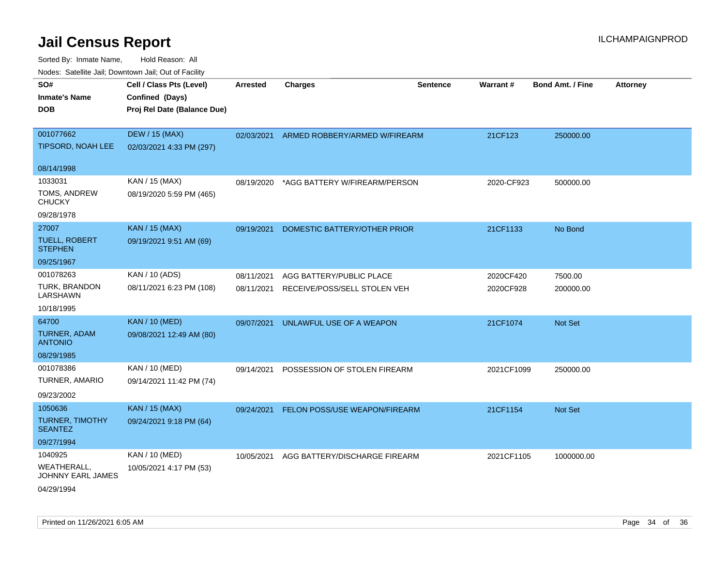| rouce. Calcinic Jan, Downtown Jan, Out of Facility |                                             |                 |                               |                 |            |                         |                 |
|----------------------------------------------------|---------------------------------------------|-----------------|-------------------------------|-----------------|------------|-------------------------|-----------------|
| SO#<br><b>Inmate's Name</b>                        | Cell / Class Pts (Level)<br>Confined (Days) | <b>Arrested</b> | <b>Charges</b>                | <b>Sentence</b> | Warrant#   | <b>Bond Amt. / Fine</b> | <b>Attorney</b> |
| <b>DOB</b>                                         | Proj Rel Date (Balance Due)                 |                 |                               |                 |            |                         |                 |
| 001077662                                          | <b>DEW / 15 (MAX)</b>                       | 02/03/2021      | ARMED ROBBERY/ARMED W/FIREARM |                 | 21CF123    | 250000.00               |                 |
| <b>TIPSORD, NOAH LEE</b>                           | 02/03/2021 4:33 PM (297)                    |                 |                               |                 |            |                         |                 |
| 08/14/1998                                         |                                             |                 |                               |                 |            |                         |                 |
| 1033031                                            | KAN / 15 (MAX)                              | 08/19/2020      | *AGG BATTERY W/FIREARM/PERSON |                 | 2020-CF923 | 500000.00               |                 |
| TOMS, ANDREW<br><b>CHUCKY</b>                      | 08/19/2020 5:59 PM (465)                    |                 |                               |                 |            |                         |                 |
| 09/28/1978                                         |                                             |                 |                               |                 |            |                         |                 |
| 27007                                              | <b>KAN / 15 (MAX)</b>                       | 09/19/2021      | DOMESTIC BATTERY/OTHER PRIOR  |                 | 21CF1133   | No Bond                 |                 |
| <b>TUELL, ROBERT</b><br><b>STEPHEN</b>             | 09/19/2021 9:51 AM (69)                     |                 |                               |                 |            |                         |                 |
| 09/25/1967                                         |                                             |                 |                               |                 |            |                         |                 |
| 001078263                                          | KAN / 10 (ADS)                              | 08/11/2021      | AGG BATTERY/PUBLIC PLACE      |                 | 2020CF420  | 7500.00                 |                 |
| <b>TURK, BRANDON</b><br>LARSHAWN                   | 08/11/2021 6:23 PM (108)                    | 08/11/2021      | RECEIVE/POSS/SELL STOLEN VEH  |                 | 2020CF928  | 200000.00               |                 |
| 10/18/1995                                         |                                             |                 |                               |                 |            |                         |                 |
| 64700                                              | <b>KAN / 10 (MED)</b>                       | 09/07/2021      | UNLAWFUL USE OF A WEAPON      |                 | 21CF1074   | <b>Not Set</b>          |                 |
| <b>TURNER, ADAM</b><br><b>ANTONIO</b>              | 09/08/2021 12:49 AM (80)                    |                 |                               |                 |            |                         |                 |
| 08/29/1985                                         |                                             |                 |                               |                 |            |                         |                 |
| 001078386                                          | KAN / 10 (MED)                              | 09/14/2021      | POSSESSION OF STOLEN FIREARM  |                 | 2021CF1099 | 250000.00               |                 |
| TURNER, AMARIO                                     | 09/14/2021 11:42 PM (74)                    |                 |                               |                 |            |                         |                 |
| 09/23/2002                                         |                                             |                 |                               |                 |            |                         |                 |
| 1050636                                            | KAN / 15 (MAX)                              | 09/24/2021      | FELON POSS/USE WEAPON/FIREARM |                 | 21CF1154   | <b>Not Set</b>          |                 |
| <b>TURNER, TIMOTHY</b><br><b>SEANTEZ</b>           | 09/24/2021 9:18 PM (64)                     |                 |                               |                 |            |                         |                 |
| 09/27/1994                                         |                                             |                 |                               |                 |            |                         |                 |
| 1040925                                            | KAN / 10 (MED)                              | 10/05/2021      | AGG BATTERY/DISCHARGE FIREARM |                 | 2021CF1105 | 1000000.00              |                 |
| WEATHERALL,<br>JOHNNY EARL JAMES                   | 10/05/2021 4:17 PM (53)                     |                 |                               |                 |            |                         |                 |
| 04/29/1994                                         |                                             |                 |                               |                 |            |                         |                 |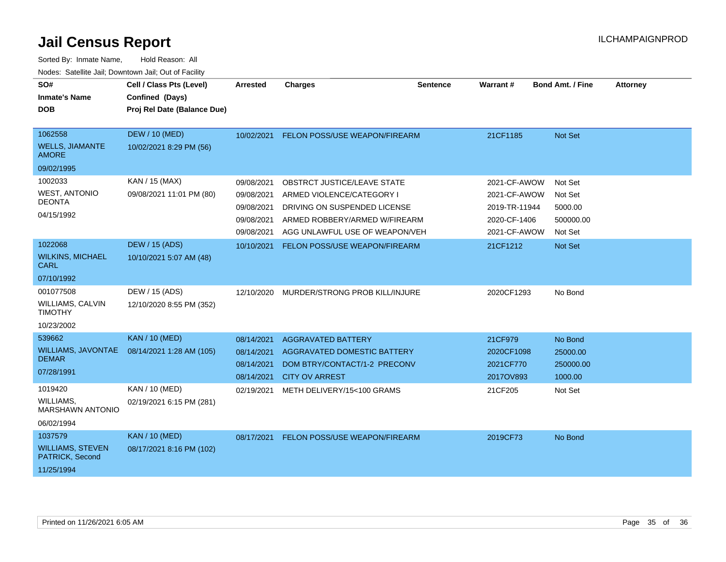| SO#<br><b>Inmate's Name</b><br><b>DOB</b>                            | Cell / Class Pts (Level)<br>Confined (Days)<br>Proj Rel Date (Balance Due) | <b>Arrested</b>                                                    | <b>Charges</b>                                                                                                                                              | <b>Sentence</b> | <b>Warrant#</b>                                                               | <b>Bond Amt. / Fine</b>                               | <b>Attorney</b> |
|----------------------------------------------------------------------|----------------------------------------------------------------------------|--------------------------------------------------------------------|-------------------------------------------------------------------------------------------------------------------------------------------------------------|-----------------|-------------------------------------------------------------------------------|-------------------------------------------------------|-----------------|
| 1062558<br><b>WELLS, JIAMANTE</b><br><b>AMORE</b>                    | <b>DEW / 10 (MED)</b><br>10/02/2021 8:29 PM (56)                           | 10/02/2021                                                         | FELON POSS/USE WEAPON/FIREARM                                                                                                                               |                 | 21CF1185                                                                      | Not Set                                               |                 |
| 09/02/1995                                                           |                                                                            |                                                                    |                                                                                                                                                             |                 |                                                                               |                                                       |                 |
| 1002033<br><b>WEST, ANTONIO</b><br><b>DEONTA</b><br>04/15/1992       | KAN / 15 (MAX)<br>09/08/2021 11:01 PM (80)                                 | 09/08/2021<br>09/08/2021<br>09/08/2021<br>09/08/2021<br>09/08/2021 | OBSTRCT JUSTICE/LEAVE STATE<br>ARMED VIOLENCE/CATEGORY I<br>DRIVING ON SUSPENDED LICENSE<br>ARMED ROBBERY/ARMED W/FIREARM<br>AGG UNLAWFUL USE OF WEAPON/VEH |                 | 2021-CF-AWOW<br>2021-CF-AWOW<br>2019-TR-11944<br>2020-CF-1406<br>2021-CF-AWOW | Not Set<br>Not Set<br>5000.00<br>500000.00<br>Not Set |                 |
| 1022068                                                              | DEW / 15 (ADS)                                                             | 10/10/2021                                                         | <b>FELON POSS/USE WEAPON/FIREARM</b>                                                                                                                        |                 | 21CF1212                                                                      | Not Set                                               |                 |
| <b>WILKINS, MICHAEL</b><br><b>CARL</b>                               | 10/10/2021 5:07 AM (48)                                                    |                                                                    |                                                                                                                                                             |                 |                                                                               |                                                       |                 |
| 07/10/1992                                                           |                                                                            |                                                                    |                                                                                                                                                             |                 |                                                                               |                                                       |                 |
| 001077508<br><b>WILLIAMS, CALVIN</b><br><b>TIMOTHY</b><br>10/23/2002 | DEW / 15 (ADS)<br>12/10/2020 8:55 PM (352)                                 | 12/10/2020                                                         | MURDER/STRONG PROB KILL/INJURE                                                                                                                              |                 | 2020CF1293                                                                    | No Bond                                               |                 |
| 539662                                                               | <b>KAN / 10 (MED)</b>                                                      | 08/14/2021                                                         | <b>AGGRAVATED BATTERY</b>                                                                                                                                   |                 | 21CF979                                                                       | No Bond                                               |                 |
| <b>WILLIAMS, JAVONTAE</b><br><b>DEMAR</b><br>07/28/1991              | 08/14/2021 1:28 AM (105)                                                   | 08/14/2021<br>08/14/2021<br>08/14/2021                             | AGGRAVATED DOMESTIC BATTERY<br>DOM BTRY/CONTACT/1-2 PRECONV<br><b>CITY OV ARREST</b>                                                                        |                 | 2020CF1098<br>2021CF770<br>2017OV893                                          | 25000.00<br>250000.00<br>1000.00                      |                 |
| 1019420                                                              | <b>KAN / 10 (MED)</b>                                                      | 02/19/2021                                                         | METH DELIVERY/15<100 GRAMS                                                                                                                                  |                 | 21CF205                                                                       | Not Set                                               |                 |
| WILLIAMS,<br>MARSHAWN ANTONIO                                        | 02/19/2021 6:15 PM (281)                                                   |                                                                    |                                                                                                                                                             |                 |                                                                               |                                                       |                 |
| 06/02/1994                                                           |                                                                            |                                                                    |                                                                                                                                                             |                 |                                                                               |                                                       |                 |
| 1037579                                                              | <b>KAN / 10 (MED)</b>                                                      | 08/17/2021                                                         | <b>FELON POSS/USE WEAPON/FIREARM</b>                                                                                                                        |                 | 2019CF73                                                                      | No Bond                                               |                 |
| <b>WILLIAMS, STEVEN</b><br>PATRICK, Second                           | 08/17/2021 8:16 PM (102)                                                   |                                                                    |                                                                                                                                                             |                 |                                                                               |                                                       |                 |
| 11/25/1994                                                           |                                                                            |                                                                    |                                                                                                                                                             |                 |                                                                               |                                                       |                 |